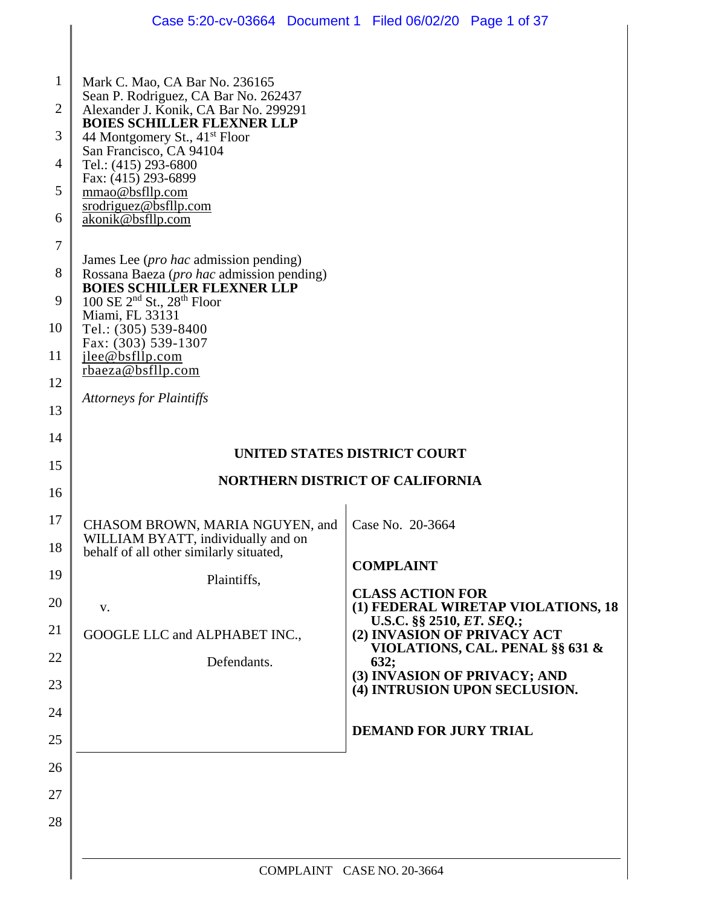|                                                                                     |                                                                                                                                                                                                                                                                                                                                                                                                                                                                                                                                                                                                                                   | Case 5:20-cv-03664 Document 1 Filed 06/02/20 Page 1 of 37              |  |
|-------------------------------------------------------------------------------------|-----------------------------------------------------------------------------------------------------------------------------------------------------------------------------------------------------------------------------------------------------------------------------------------------------------------------------------------------------------------------------------------------------------------------------------------------------------------------------------------------------------------------------------------------------------------------------------------------------------------------------------|------------------------------------------------------------------------|--|
| $\mathbf{1}$<br>$\overline{2}$<br>3<br>4<br>5<br>6<br>7<br>8<br>9<br>10<br>11<br>12 | Mark C. Mao, CA Bar No. 236165<br>Sean P. Rodriguez, CA Bar No. 262437<br>Alexander J. Konik, CA Bar No. 299291<br><b>BOIES SCHILLER FLEXNER LLP</b><br>44 Montgomery St., 41 <sup>st</sup> Floor<br>San Francisco, CA 94104<br>Tel.: (415) 293-6800<br>Fax: (415) 293-6899<br>mmao@bsfllp.com<br>srodriguez@bsfllp.com<br>akonik@bsfllp.com<br>James Lee ( <i>pro hac</i> admission pending)<br>Rossana Baeza (pro hac admission pending)<br><b>BOIES SCHILLER FLEXNER LLP</b><br>100 SE $2^{nd}$ St., $28^{th}$ Floor<br>Miami, FL 33131<br>Tel.: (305) 539-8400<br>Fax: (303) 539-1307<br>jlee@bsfllp.com<br>rbaeza@bsfllp.com |                                                                        |  |
| 13                                                                                  | <b>Attorneys for Plaintiffs</b>                                                                                                                                                                                                                                                                                                                                                                                                                                                                                                                                                                                                   |                                                                        |  |
| 14                                                                                  |                                                                                                                                                                                                                                                                                                                                                                                                                                                                                                                                                                                                                                   |                                                                        |  |
| 15                                                                                  |                                                                                                                                                                                                                                                                                                                                                                                                                                                                                                                                                                                                                                   | UNITED STATES DISTRICT COURT                                           |  |
| 16                                                                                  | <b>NORTHERN DISTRICT OF CALIFORNIA</b>                                                                                                                                                                                                                                                                                                                                                                                                                                                                                                                                                                                            |                                                                        |  |
| 17<br>18                                                                            | CHASOM BROWN, MARIA NGUYEN, and<br>WILLIAM BYATT, individually and on<br>behalf of all other similarly situated,                                                                                                                                                                                                                                                                                                                                                                                                                                                                                                                  | Case No. 20-3664<br><b>COMPLAINT</b>                                   |  |
| 19                                                                                  | Plaintiffs,                                                                                                                                                                                                                                                                                                                                                                                                                                                                                                                                                                                                                       | <b>CLASS ACTION FOR</b>                                                |  |
| 20<br>21                                                                            | V.                                                                                                                                                                                                                                                                                                                                                                                                                                                                                                                                                                                                                                | (1) FEDERAL WIRETAP VIOLATIONS, 18<br>U.S.C. §§ 2510, ET. SEQ.;        |  |
| 22                                                                                  | GOOGLE LLC and ALPHABET INC.,<br>Defendants.                                                                                                                                                                                                                                                                                                                                                                                                                                                                                                                                                                                      | (2) INVASION OF PRIVACY ACT<br>VIOLATIONS, CAL. PENAL §§ 631 &<br>632; |  |
| 23                                                                                  |                                                                                                                                                                                                                                                                                                                                                                                                                                                                                                                                                                                                                                   | (3) INVASION OF PRIVACY; AND<br>(4) INTRUSION UPON SECLUSION.          |  |
| 24                                                                                  |                                                                                                                                                                                                                                                                                                                                                                                                                                                                                                                                                                                                                                   |                                                                        |  |
| 25                                                                                  |                                                                                                                                                                                                                                                                                                                                                                                                                                                                                                                                                                                                                                   | <b>DEMAND FOR JURY TRIAL</b>                                           |  |
| 26                                                                                  |                                                                                                                                                                                                                                                                                                                                                                                                                                                                                                                                                                                                                                   |                                                                        |  |
| 27                                                                                  |                                                                                                                                                                                                                                                                                                                                                                                                                                                                                                                                                                                                                                   |                                                                        |  |
| 28                                                                                  |                                                                                                                                                                                                                                                                                                                                                                                                                                                                                                                                                                                                                                   |                                                                        |  |
|                                                                                     | COMPLAINT CASE NO. 20-3664                                                                                                                                                                                                                                                                                                                                                                                                                                                                                                                                                                                                        |                                                                        |  |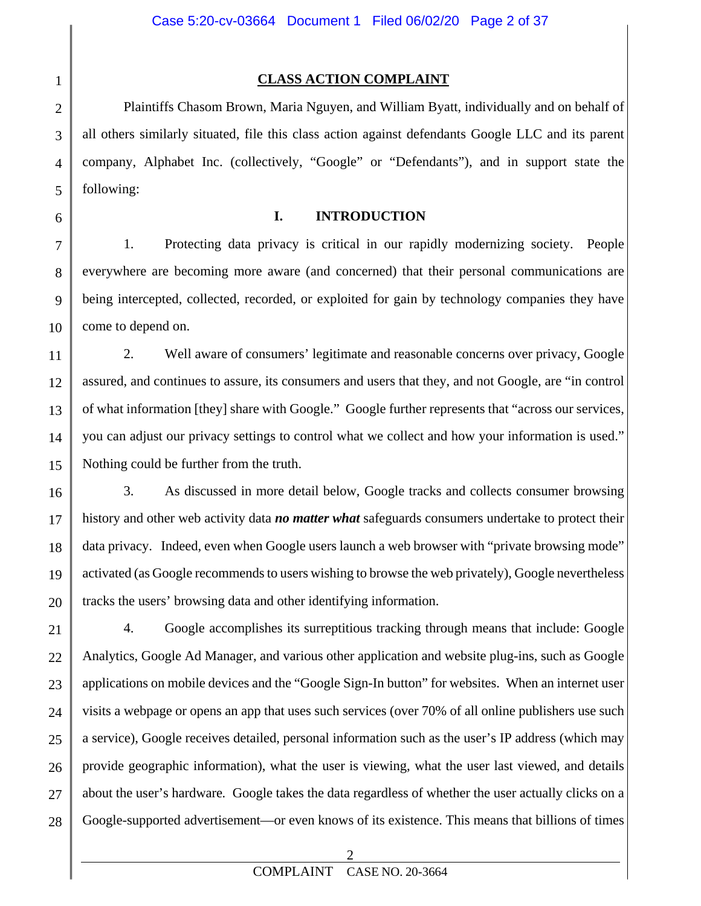# 1 2 3 4 5 6 7 8 9

#### **CLASS ACTION COMPLAINT**

Plaintiffs Chasom Brown, Maria Nguyen, and William Byatt, individually and on behalf of all others similarly situated, file this class action against defendants Google LLC and its parent company, Alphabet Inc. (collectively, "Google" or "Defendants"), and in support state the following:

#### **I. INTRODUCTION**

10 1. Protecting data privacy is critical in our rapidly modernizing society. People everywhere are becoming more aware (and concerned) that their personal communications are being intercepted, collected, recorded, or exploited for gain by technology companies they have come to depend on.

11 12 13 14 15 2. Well aware of consumers' legitimate and reasonable concerns over privacy, Google assured, and continues to assure, its consumers and users that they, and not Google, are "in control of what information [they] share with Google." Google further represents that "across our services, you can adjust our privacy settings to control what we collect and how your information is used." Nothing could be further from the truth.

16 17 18 19 20 3. As discussed in more detail below, Google tracks and collects consumer browsing history and other web activity data *no matter what* safeguards consumers undertake to protect their data privacy. Indeed, even when Google users launch a web browser with "private browsing mode" activated (as Google recommends to users wishing to browse the web privately), Google nevertheless tracks the users' browsing data and other identifying information.

21 22 23 24 25 26 27 28 4. Google accomplishes its surreptitious tracking through means that include: Google Analytics, Google Ad Manager, and various other application and website plug-ins, such as Google applications on mobile devices and the "Google Sign-In button" for websites. When an internet user visits a webpage or opens an app that uses such services (over 70% of all online publishers use such a service), Google receives detailed, personal information such as the user's IP address (which may provide geographic information), what the user is viewing, what the user last viewed, and details about the user's hardware*.* Google takes the data regardless of whether the user actually clicks on a Google-supported advertisement—or even knows of its existence. This means that billions of times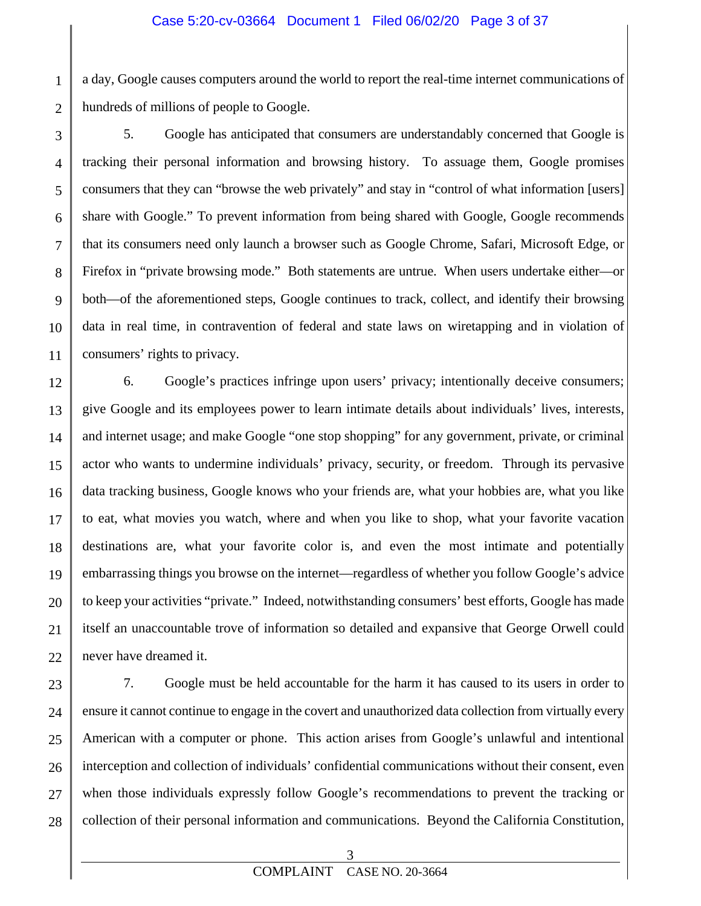a day, Google causes computers around the world to report the real-time internet communications of hundreds of millions of people to Google.

1

2

3 4 5 6 7 8 9 10 11 5. Google has anticipated that consumers are understandably concerned that Google is tracking their personal information and browsing history. To assuage them, Google promises consumers that they can "browse the web privately" and stay in "control of what information [users] share with Google." To prevent information from being shared with Google, Google recommends that its consumers need only launch a browser such as Google Chrome, Safari, Microsoft Edge, or Firefox in "private browsing mode." Both statements are untrue. When users undertake either—or both—of the aforementioned steps, Google continues to track, collect, and identify their browsing data in real time, in contravention of federal and state laws on wiretapping and in violation of consumers' rights to privacy.

12 13 14 15 16 17 18 19 20 21 22 6. Google's practices infringe upon users' privacy; intentionally deceive consumers; give Google and its employees power to learn intimate details about individuals' lives, interests, and internet usage; and make Google "one stop shopping" for any government, private, or criminal actor who wants to undermine individuals' privacy, security, or freedom. Through its pervasive data tracking business, Google knows who your friends are, what your hobbies are, what you like to eat, what movies you watch, where and when you like to shop, what your favorite vacation destinations are, what your favorite color is, and even the most intimate and potentially embarrassing things you browse on the internet—regardless of whether you follow Google's advice to keep your activities "private." Indeed, notwithstanding consumers' best efforts, Google has made itself an unaccountable trove of information so detailed and expansive that George Orwell could never have dreamed it.

23 24 25 26 27 28 7. Google must be held accountable for the harm it has caused to its users in order to ensure it cannot continue to engage in the covert and unauthorized data collection from virtually every American with a computer or phone. This action arises from Google's unlawful and intentional interception and collection of individuals' confidential communications without their consent, even when those individuals expressly follow Google's recommendations to prevent the tracking or collection of their personal information and communications. Beyond the California Constitution,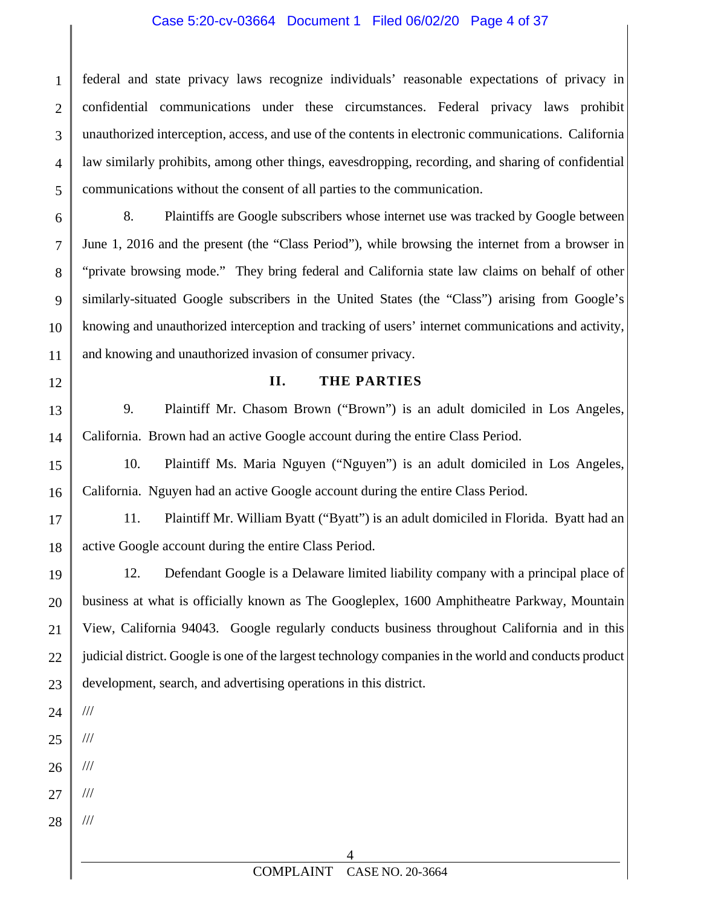#### Case 5:20-cv-03664 Document 1 Filed 06/02/20 Page 4 of 37

1 2 3 4 5 federal and state privacy laws recognize individuals' reasonable expectations of privacy in confidential communications under these circumstances. Federal privacy laws prohibit unauthorized interception, access, and use of the contents in electronic communications. California law similarly prohibits, among other things, eavesdropping, recording, and sharing of confidential communications without the consent of all parties to the communication.

6 7 8 9 10 11 8. Plaintiffs are Google subscribers whose internet use was tracked by Google between June 1, 2016 and the present (the "Class Period"), while browsing the internet from a browser in "private browsing mode." They bring federal and California state law claims on behalf of other similarly-situated Google subscribers in the United States (the "Class") arising from Google's knowing and unauthorized interception and tracking of users' internet communications and activity, and knowing and unauthorized invasion of consumer privacy.

#### **II. THE PARTIES**

13 14 9. Plaintiff Mr. Chasom Brown ("Brown") is an adult domiciled in Los Angeles, California. Brown had an active Google account during the entire Class Period.

15 16 10. Plaintiff Ms. Maria Nguyen ("Nguyen") is an adult domiciled in Los Angeles, California. Nguyen had an active Google account during the entire Class Period.

17 18 11. Plaintiff Mr. William Byatt ("Byatt") is an adult domiciled in Florida. Byatt had an active Google account during the entire Class Period.

19 20 21 22 23 12. Defendant Google is a Delaware limited liability company with a principal place of business at what is officially known as The Googleplex, 1600 Amphitheatre Parkway, Mountain View, California 94043. Google regularly conducts business throughout California and in this judicial district. Google is one of the largest technology companies in the world and conducts product development, search, and advertising operations in this district.

- 24 ///
- 25 ///

- 26 ///
- 27 ///
- 28 ///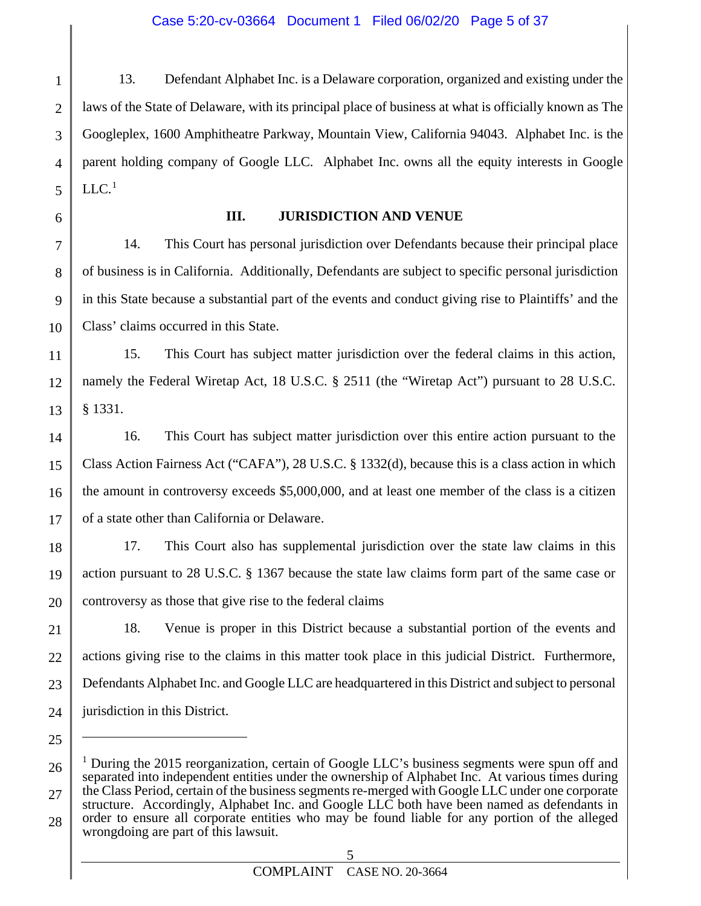#### Case 5:20-cv-03664 Document 1 Filed 06/02/20 Page 5 of 37

1 2 3 4 5 13. Defendant Alphabet Inc. is a Delaware corporation, organized and existing under the laws of the State of Delaware, with its principal place of business at what is officially known as The Googleplex, 1600 Amphitheatre Parkway, Mountain View, California 94043. Alphabet Inc. is the parent holding company of Google LLC. Alphabet Inc. owns all the equity interests in Google  $LLC.$ <sup>[1](#page-4-0)</sup>

6

25

 $\overline{a}$ 

#### **III. JURISDICTION AND VENUE**

7 8 9 10 14. This Court has personal jurisdiction over Defendants because their principal place of business is in California. Additionally, Defendants are subject to specific personal jurisdiction in this State because a substantial part of the events and conduct giving rise to Plaintiffs' and the Class' claims occurred in this State.

11 12 13 15. This Court has subject matter jurisdiction over the federal claims in this action, namely the Federal Wiretap Act, 18 U.S.C. § 2511 (the "Wiretap Act") pursuant to 28 U.S.C. § 1331.

14 15 16 17 16. This Court has subject matter jurisdiction over this entire action pursuant to the Class Action Fairness Act ("CAFA"), 28 U.S.C. § 1332(d), because this is a class action in which the amount in controversy exceeds \$5,000,000, and at least one member of the class is a citizen of a state other than California or Delaware.

18 19 20 17. This Court also has supplemental jurisdiction over the state law claims in this action pursuant to 28 U.S.C. § 1367 because the state law claims form part of the same case or controversy as those that give rise to the federal claims

21 22 23 24 18. Venue is proper in this District because a substantial portion of the events and actions giving rise to the claims in this matter took place in this judicial District. Furthermore, Defendants Alphabet Inc. and Google LLC are headquartered in this District and subject to personal jurisdiction in this District.

<span id="page-4-0"></span><sup>26</sup> 27 28 <sup>1</sup> During the 2015 reorganization, certain of Google LLC's business segments were spun off and separated into independent entities under the ownership of Alphabet Inc. At various times during the Class Period, certain of the business segments re-merged with Google LLC under one corporate structure. Accordingly, Alphabet Inc. and Google LLC both have been named as defendants in order to ensure all corporate entities who may be found liable for any portion of the alleged wrongdoing are part of this lawsuit.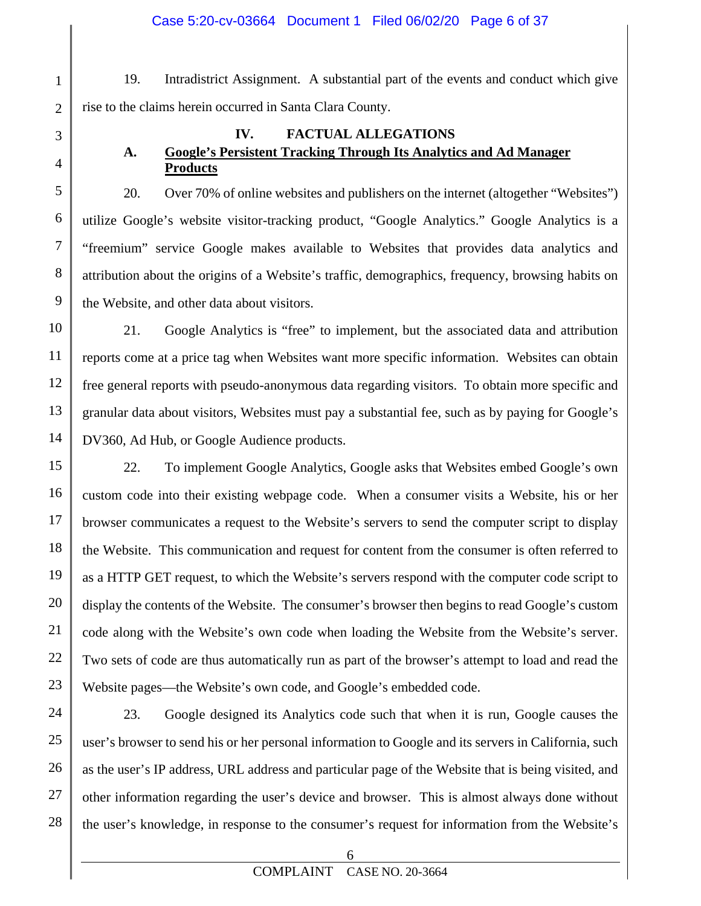19. Intradistrict Assignment. A substantial part of the events and conduct which give rise to the claims herein occurred in Santa Clara County.

1

2

3

4

5

6

7

8

9

#### **IV. FACTUAL ALLEGATIONS A. Google's Persistent Tracking Through Its Analytics and Ad Manager Products**

20. Over 70% of online websites and publishers on the internet (altogether "Websites") utilize Google's website visitor-tracking product, "Google Analytics." Google Analytics is a "freemium" service Google makes available to Websites that provides data analytics and attribution about the origins of a Website's traffic, demographics, frequency, browsing habits on the Website, and other data about visitors.

10 11 12 13 14 21. Google Analytics is "free" to implement, but the associated data and attribution reports come at a price tag when Websites want more specific information. Websites can obtain free general reports with pseudo-anonymous data regarding visitors. To obtain more specific and granular data about visitors, Websites must pay a substantial fee, such as by paying for Google's DV360, Ad Hub, or Google Audience products.

15 16 17 18 19 20 21 22 23 22. To implement Google Analytics, Google asks that Websites embed Google's own custom code into their existing webpage code. When a consumer visits a Website, his or her browser communicates a request to the Website's servers to send the computer script to display the Website. This communication and request for content from the consumer is often referred to as a HTTP GET request, to which the Website's servers respond with the computer code script to display the contents of the Website. The consumer's browser then begins to read Google's custom code along with the Website's own code when loading the Website from the Website's server. Two sets of code are thus automatically run as part of the browser's attempt to load and read the Website pages—the Website's own code, and Google's embedded code.

24 25 26 27 28 23. Google designed its Analytics code such that when it is run, Google causes the user's browser to send his or her personal information to Google and its servers in California, such as the user's IP address, URL address and particular page of the Website that is being visited, and other information regarding the user's device and browser. This is almost always done without the user's knowledge, in response to the consumer's request for information from the Website's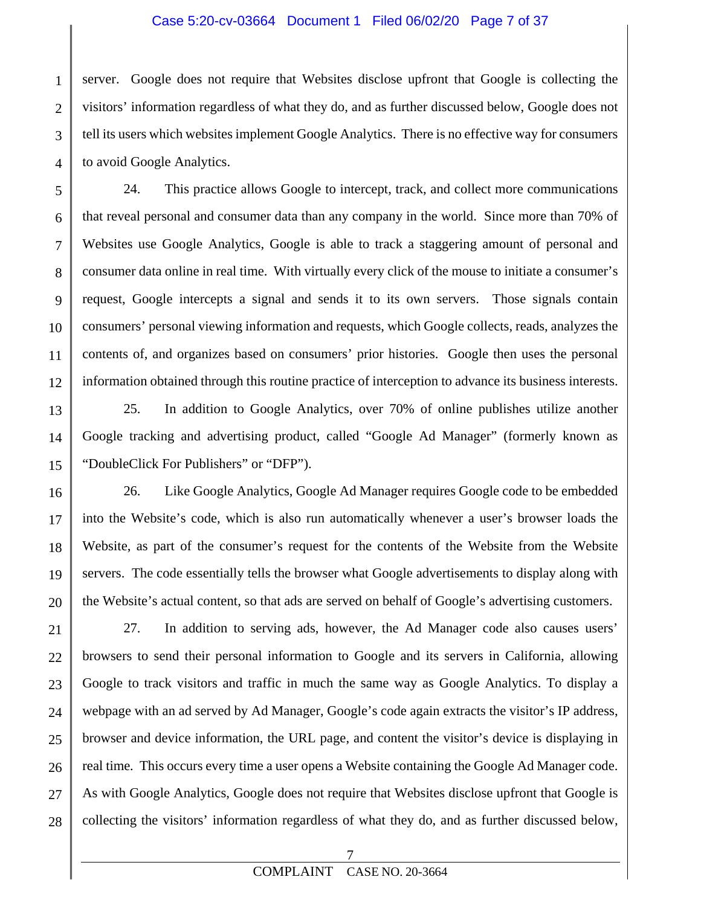#### Case 5:20-cv-03664 Document 1 Filed 06/02/20 Page 7 of 37

1 2 3 4 server. Google does not require that Websites disclose upfront that Google is collecting the visitors' information regardless of what they do, and as further discussed below, Google does not tell its users which websites implement Google Analytics. There is no effective way for consumers to avoid Google Analytics.

5 24. This practice allows Google to intercept, track, and collect more communications that reveal personal and consumer data than any company in the world. Since more than 70% of Websites use Google Analytics, Google is able to track a staggering amount of personal and consumer data online in real time. With virtually every click of the mouse to initiate a consumer's request, Google intercepts a signal and sends it to its own servers. Those signals contain consumers' personal viewing information and requests, which Google collects, reads, analyzes the contents of, and organizes based on consumers' prior histories. Google then uses the personal information obtained through this routine practice of interception to advance its business interests.

25. In addition to Google Analytics, over 70% of online publishes utilize another Google tracking and advertising product, called "Google Ad Manager" (formerly known as "DoubleClick For Publishers" or "DFP").

26. Like Google Analytics, Google Ad Manager requires Google code to be embedded into the Website's code, which is also run automatically whenever a user's browser loads the Website, as part of the consumer's request for the contents of the Website from the Website servers. The code essentially tells the browser what Google advertisements to display along with the Website's actual content, so that ads are served on behalf of Google's advertising customers.

27. In addition to serving ads, however, the Ad Manager code also causes users' browsers to send their personal information to Google and its servers in California, allowing Google to track visitors and traffic in much the same way as Google Analytics. To display a webpage with an ad served by Ad Manager, Google's code again extracts the visitor's IP address, browser and device information, the URL page, and content the visitor's device is displaying in real time*.* This occurs every time a user opens a Website containing the Google Ad Manager code. As with Google Analytics, Google does not require that Websites disclose upfront that Google is collecting the visitors' information regardless of what they do, and as further discussed below,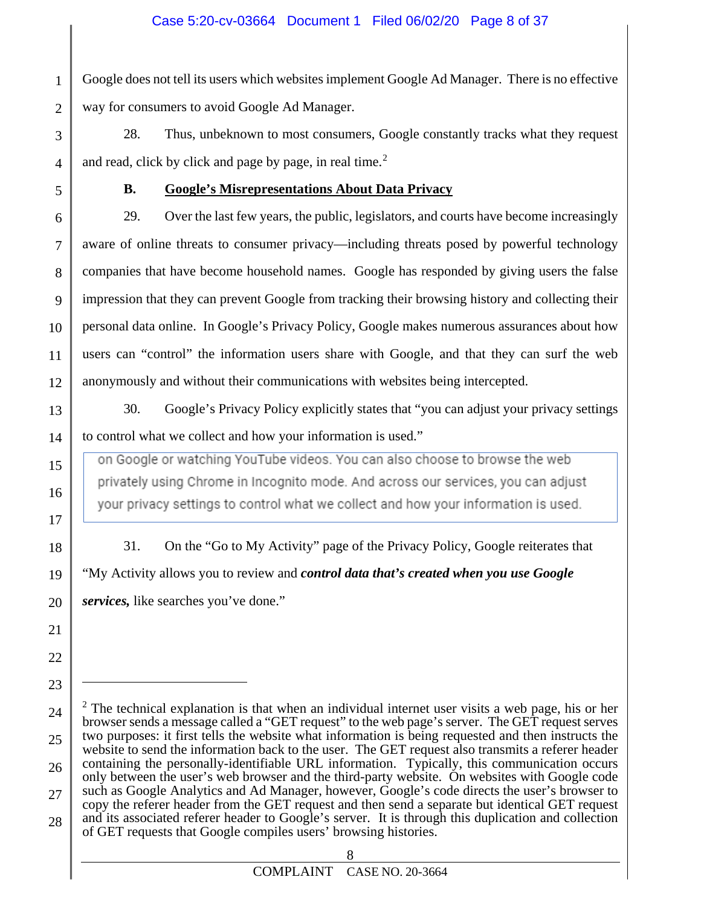1 2 Google does not tell its users which websites implement Google Ad Manager. There is no effective way for consumers to avoid Google Ad Manager.

28. Thus, unbeknown to most consumers, Google constantly tracks what they request and read, click by click and page by page, in real time. $2$ 

5

3

4

### **B. Google's Misrepresentations About Data Privacy**

6 7 8 9 10 11 12 29. Over the last few years, the public, legislators, and courts have become increasingly aware of online threats to consumer privacy—including threats posed by powerful technology companies that have become household names. Google has responded by giving users the false impression that they can prevent Google from tracking their browsing history and collecting their personal data online. In Google's Privacy Policy, Google makes numerous assurances about how users can "control" the information users share with Google, and that they can surf the web anonymously and without their communications with websites being intercepted.

13

14

15

16

17

18

19

20

21

22

23

 $\overline{a}$ 

30. Google's Privacy Policy explicitly states that "you can adjust your privacy settings to control what we collect and how your information is used."

on Google or watching YouTube videos. You can also choose to browse the web privately using Chrome in Incognito mode. And across our services, you can adjust your privacy settings to control what we collect and how your information is used.

31. On the "Go to My Activity" page of the Privacy Policy, Google reiterates that "My Activity allows you to review and *control data that's created when you use Google services,* like searches you've done."

<span id="page-7-0"></span><sup>24</sup> 25 26 27 28  $2$  The technical explanation is that when an individual internet user visits a web page, his or her browser sends a message called a "GET request" to the web page's server. The GET request serves two purposes: it first tells the website what information is being requested and then instructs the website to send the information back to the user. The GET request also transmits a referer header containing the personally-identifiable URL information. Typically, this communication occurs only between the user's web browser and the third-party website. On websites with Google code such as Google Analytics and Ad Manager, however, Google's code directs the user's browser to copy the referer header from the GET request and then send a separate but identical GET request and its associated referer header to Google's server. It is through this duplication and collection of GET requests that Google compiles users' browsing histories.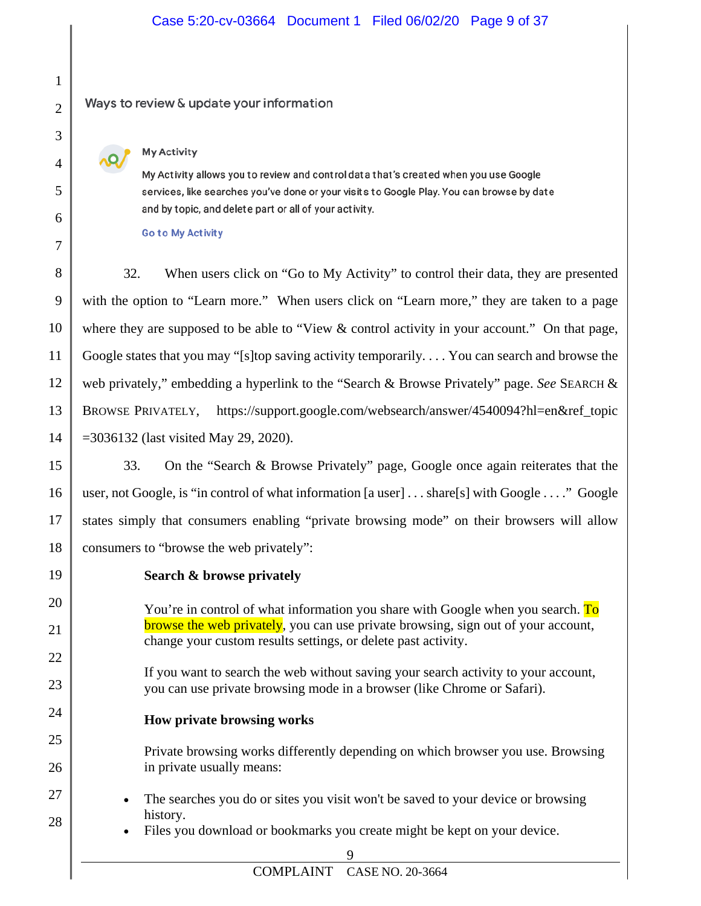#### Case 5:20-cv-03664 Document 1 Filed 06/02/20 Page 9 of 37

#### Ways to review & update your information

#### **My Activity**

My Activity allows you to review and control data that's created when you use Google services, like searches you've done or your visits to Google Play. You can browse by date and by topic, and delete part or all of your activity.

**Go to My Activity** 

32. When users click on "Go to My Activity" to control their data, they are presented with the option to "Learn more." When users click on "Learn more," they are taken to a page where they are supposed to be able to "View & control activity in your account." On that page, Google states that you may "[s]top saving activity temporarily. . . . You can search and browse the web privately," embedding a hyperlink to the "Search & Browse Privately" page. *See* SEARCH & BROWSE PRIVATELY, https://support.google.com/websearch/answer/4540094?hl=en&ref\_topic =3036132 (last visited May 29, 2020).

33. On the "Search & Browse Privately" page, Google once again reiterates that the user, not Google, is "in control of what information [a user] . . . share[s] with Google . . . ." Google states simply that consumers enabling "private browsing mode" on their browsers will allow consumers to "browse the web privately":

**Search & browse privately**

You're in control of what information you share with Google when you search. To browse the web privately, you can use private browsing, sign out of your account, change your custom results settings, or delete past activity.

If you want to search the web without saving your search activity to your account, you can use private browsing mode in a browser (like Chrome or Safari).

#### **How private browsing works**

Private browsing works differently depending on which browser you use. Browsing in private usually means:

- The searches you do or sites you visit won't be saved to your device or browsing history.
- Files you download or bookmarks you create might be kept on your device.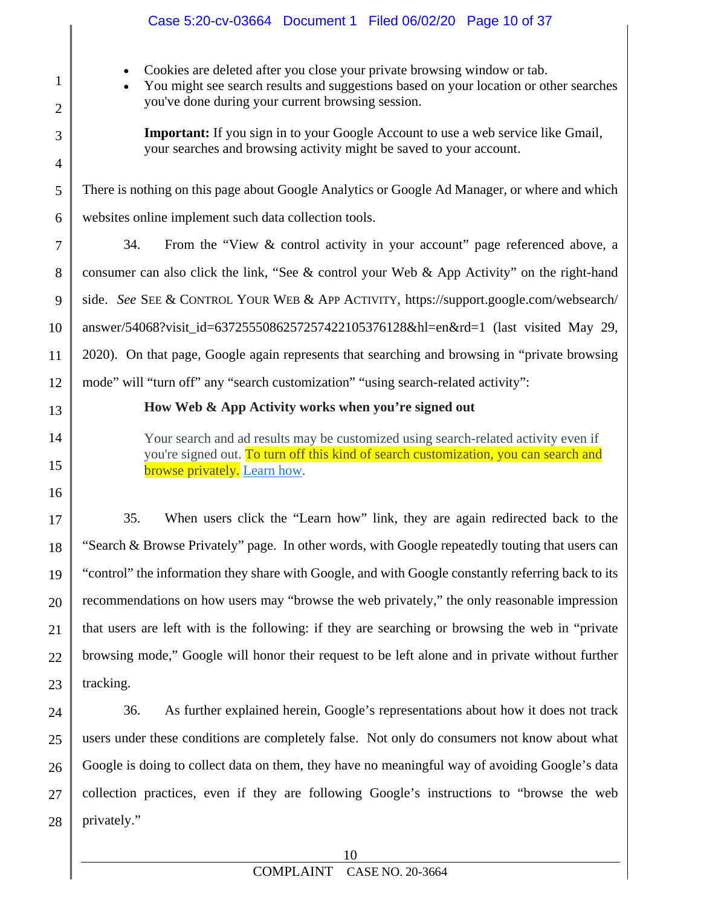|                                | Case 5:20-cv-03664 Document 1 Filed 06/02/20 Page 10 of 37                                                                                                                                                                          |  |  |
|--------------------------------|-------------------------------------------------------------------------------------------------------------------------------------------------------------------------------------------------------------------------------------|--|--|
| $\mathbf{1}$<br>$\overline{2}$ | Cookies are deleted after you close your private browsing window or tab.<br>$\bullet$<br>You might see search results and suggestions based on your location or other searches<br>you've done during your current browsing session. |  |  |
| 3<br>4                         | <b>Important:</b> If you sign in to your Google Account to use a web service like Gmail,<br>your searches and browsing activity might be saved to your account.                                                                     |  |  |
| 5                              | There is nothing on this page about Google Analytics or Google Ad Manager, or where and which                                                                                                                                       |  |  |
| 6                              | websites online implement such data collection tools.                                                                                                                                                                               |  |  |
| $\tau$                         | From the "View & control activity in your account" page referenced above, a<br>34.                                                                                                                                                  |  |  |
| 8                              | consumer can also click the link, "See & control your Web & App Activity" on the right-hand                                                                                                                                         |  |  |
| 9                              | side. See SEE & CONTROL YOUR WEB & APP ACTIVITY, https://support.google.com/websearch/                                                                                                                                              |  |  |
| 10                             | answer/54068?visit_id=6372555086257257422105376128&hl=en&rd=1 (last visited May 29,                                                                                                                                                 |  |  |
| 11                             | 2020). On that page, Google again represents that searching and browsing in "private browsing                                                                                                                                       |  |  |
| 12                             | mode" will "turn off" any "search customization" "using search-related activity":                                                                                                                                                   |  |  |
| 13                             | How Web & App Activity works when you're signed out                                                                                                                                                                                 |  |  |
|                                |                                                                                                                                                                                                                                     |  |  |
| 14<br>15                       | Your search and ad results may be customized using search-related activity even if<br>you're signed out. To turn off this kind of search customization, you can search and<br>browse privately. Learn how.                          |  |  |
| 16                             |                                                                                                                                                                                                                                     |  |  |
| 17                             | When users click the "Learn how" link, they are again redirected back to the<br>35.                                                                                                                                                 |  |  |
| 18                             | "Search & Browse Privately" page. In other words, with Google repeatedly touting that users can<br>"control" the information they share with Google, and with Google constantly referring back to its                               |  |  |
| 19                             | recommendations on how users may "browse the web privately," the only reasonable impression                                                                                                                                         |  |  |
| 20                             | that users are left with is the following: if they are searching or browsing the web in "private"                                                                                                                                   |  |  |
| 21<br>22                       | browsing mode," Google will honor their request to be left alone and in private without further                                                                                                                                     |  |  |
| 23                             | tracking.                                                                                                                                                                                                                           |  |  |
| 24                             | 36.<br>As further explained herein, Google's representations about how it does not track                                                                                                                                            |  |  |
| 25                             | users under these conditions are completely false. Not only do consumers not know about what                                                                                                                                        |  |  |
| 26                             | Google is doing to collect data on them, they have no meaningful way of avoiding Google's data                                                                                                                                      |  |  |
| 27                             | collection practices, even if they are following Google's instructions to "browse the web                                                                                                                                           |  |  |
| 28                             | privately."                                                                                                                                                                                                                         |  |  |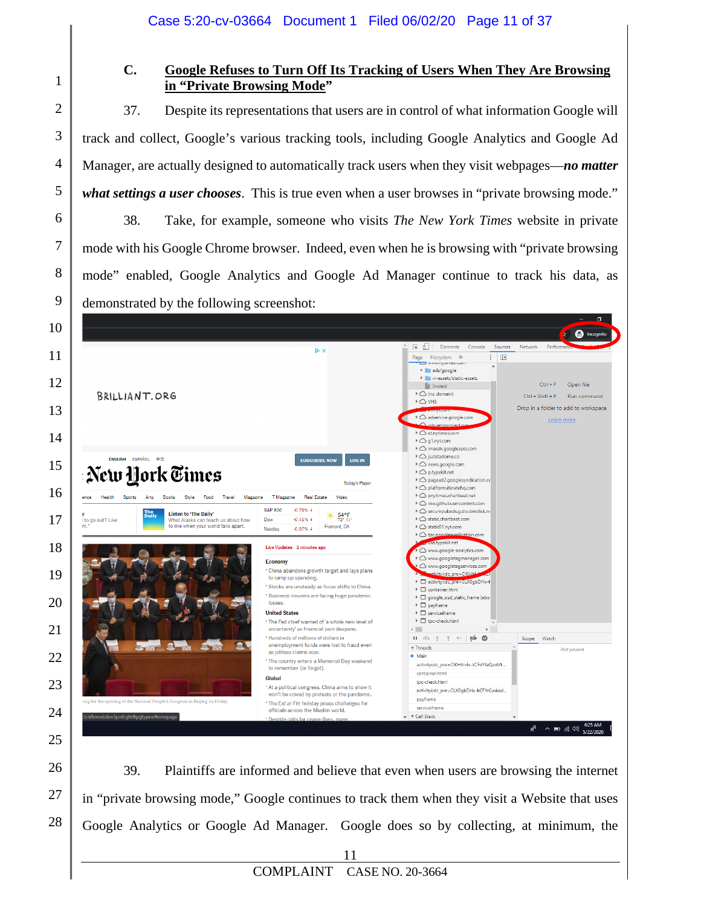### **C. Google Refuses to Turn Off Its Tracking of Users When They Are Browsing in "Private Browsing Mode"**

37. Despite its representations that users are in control of what information Google will track and collect, Google's various tracking tools, including Google Analytics and Google Ad Manager, are actually designed to automatically track users when they visit webpages—*no matter what settings a user chooses*. This is true even when a user browses in "private browsing mode."

38. Take, for example, someone who visits *The New York Times* website in private mode with his Google Chrome browser. Indeed, even when he is browsing with "private browsing mode" enabled, Google Analytics and Google Ad Manager continue to track his data, as demonstrated by the following screenshot:



39. Plaintiffs are informed and believe that even when users are browsing the internet in "private browsing mode," Google continues to track them when they visit a Website that uses Google Analytics or Google Ad Manager. Google does so by collecting, at minimum, the

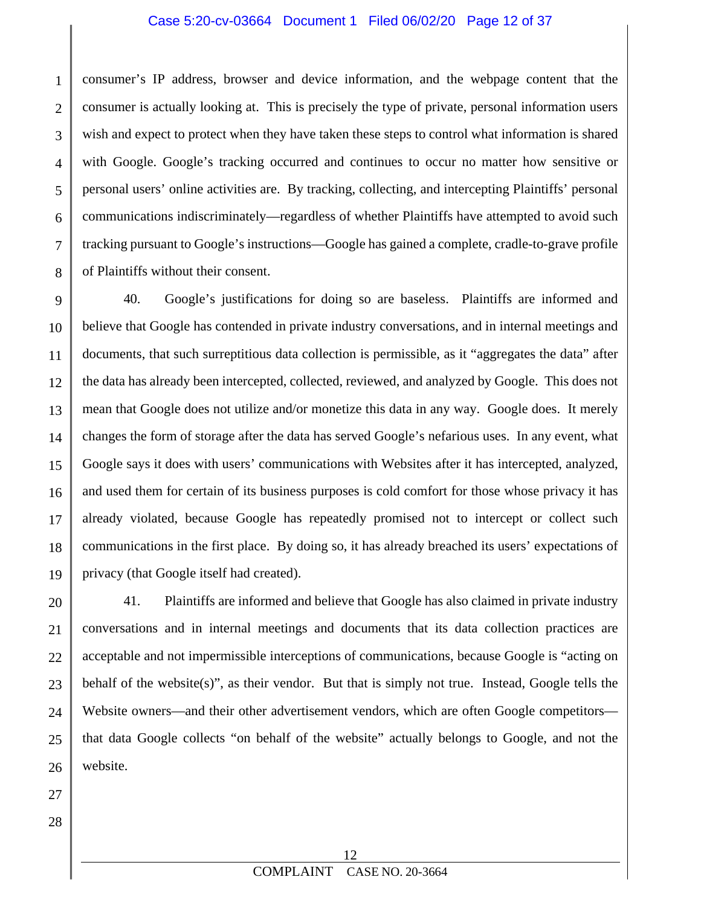#### Case 5:20-cv-03664 Document 1 Filed 06/02/20 Page 12 of 37

1 2 3 4 5 6 7 8 consumer's IP address, browser and device information, and the webpage content that the consumer is actually looking at. This is precisely the type of private, personal information users wish and expect to protect when they have taken these steps to control what information is shared with Google. Google's tracking occurred and continues to occur no matter how sensitive or personal users' online activities are. By tracking, collecting, and intercepting Plaintiffs' personal communications indiscriminately—regardless of whether Plaintiffs have attempted to avoid such tracking pursuant to Google's instructions—Google has gained a complete, cradle-to-grave profile of Plaintiffs without their consent.

9 10 11 12 13 14 15 16 17 18 19 40. Google's justifications for doing so are baseless. Plaintiffs are informed and believe that Google has contended in private industry conversations, and in internal meetings and documents, that such surreptitious data collection is permissible, as it "aggregates the data" after the data has already been intercepted, collected, reviewed, and analyzed by Google. This does not mean that Google does not utilize and/or monetize this data in any way. Google does. It merely changes the form of storage after the data has served Google's nefarious uses. In any event, what Google says it does with users' communications with Websites after it has intercepted, analyzed, and used them for certain of its business purposes is cold comfort for those whose privacy it has already violated, because Google has repeatedly promised not to intercept or collect such communications in the first place. By doing so, it has already breached its users' expectations of privacy (that Google itself had created).

20 21 22 23 24 25 26 41. Plaintiffs are informed and believe that Google has also claimed in private industry conversations and in internal meetings and documents that its data collection practices are acceptable and not impermissible interceptions of communications, because Google is "acting on behalf of the website(s)", as their vendor. But that is simply not true. Instead, Google tells the Website owners—and their other advertisement vendors, which are often Google competitors that data Google collects "on behalf of the website" actually belongs to Google, and not the website.

27 28

> 12 COMPLAINT CASE NO. 20-3664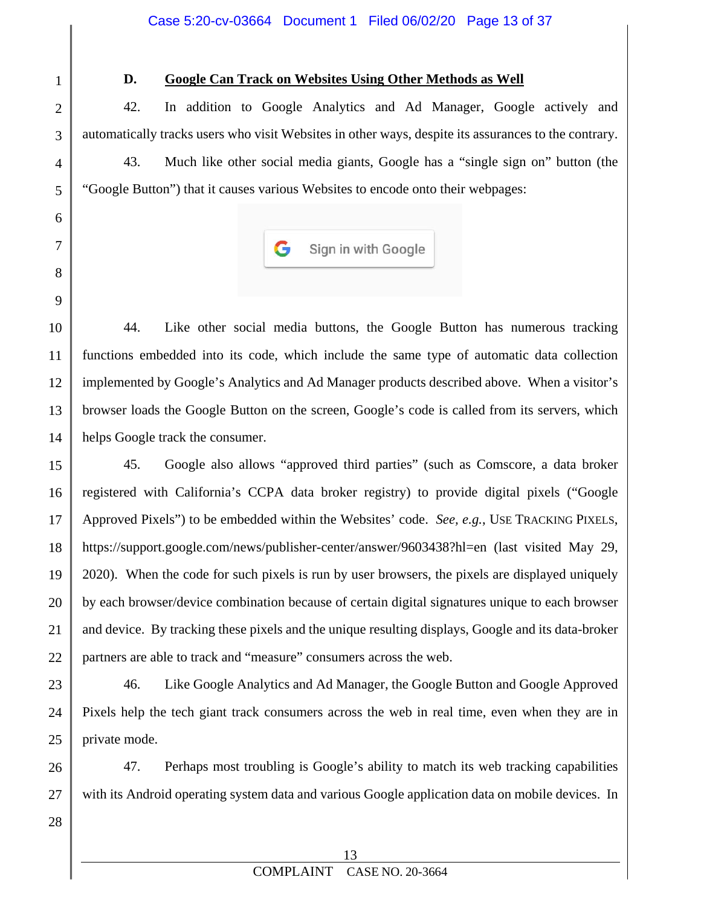1

2

3

4

5

6

7

8

9

#### **D. Google Can Track on Websites Using Other Methods as Well**

42. In addition to Google Analytics and Ad Manager, Google actively and automatically tracks users who visit Websites in other ways, despite its assurances to the contrary. 43. Much like other social media giants, Google has a "single sign on" button (the "Google Button") that it causes various Websites to encode onto their webpages:



10 11 12 13 14 44. Like other social media buttons, the Google Button has numerous tracking functions embedded into its code, which include the same type of automatic data collection implemented by Google's Analytics and Ad Manager products described above. When a visitor's browser loads the Google Button on the screen, Google's code is called from its servers, which helps Google track the consumer.

15 16 17 18 19 20 21 22 45. Google also allows "approved third parties" (such as Comscore, a data broker registered with California's CCPA data broker registry) to provide digital pixels ("Google Approved Pixels") to be embedded within the Websites' code. *See, e.g.*, USE TRACKING PIXELS, <https://support.google.com/news/publisher-center/answer/9603438?hl=en> (last visited May 29, 2020). When the code for such pixels is run by user browsers, the pixels are displayed uniquely by each browser/device combination because of certain digital signatures unique to each browser and device. By tracking these pixels and the unique resulting displays, Google and its data-broker partners are able to track and "measure" consumers across the web.

23 24 25 46. Like Google Analytics and Ad Manager, the Google Button and Google Approved Pixels help the tech giant track consumers across the web in real time, even when they are in private mode.

26 47. Perhaps most troubling is Google's ability to match its web tracking capabilities with its Android operating system data and various Google application data on mobile devices. In

28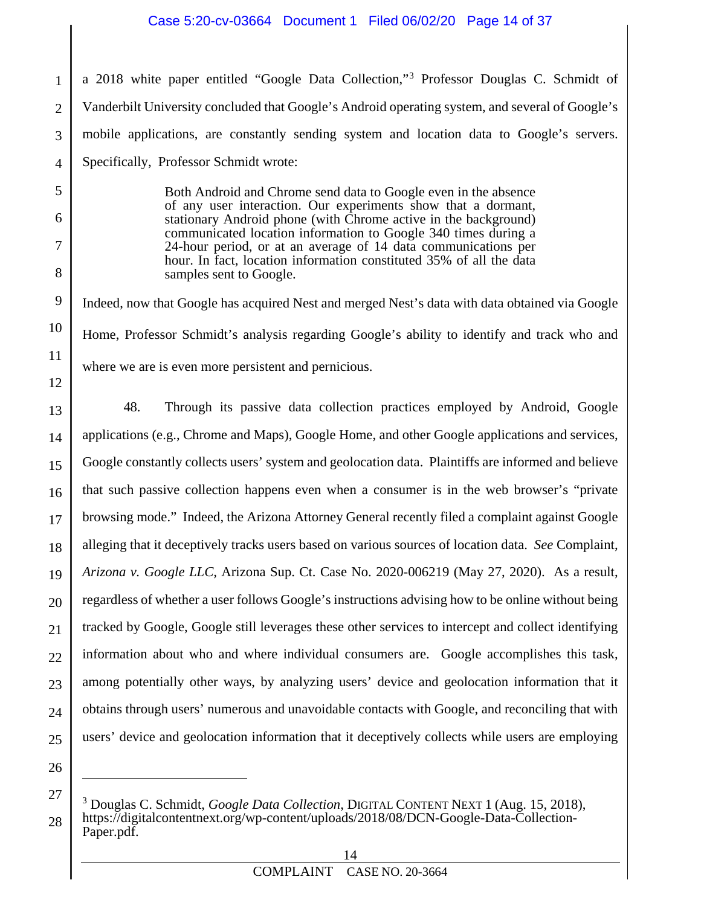a 2018 white paper entitled "Google Data Collection,"[3](#page-13-0) Professor Douglas C. Schmidt of Vanderbilt University concluded that Google's Android operating system, and several of Google's mobile applications, are constantly sending system and location data to Google's servers. Specifically, Professor Schmidt wrote:

> Both Android and Chrome send data to Google even in the absence of any user interaction. Our experiments show that a dormant, stationary Android phone (with Chrome active in the background) communicated location information to Google 340 times during a 24-hour period, or at an average of 14 data communications per hour. In fact, location information constituted 35% of all the data samples sent to Google.

10 Indeed, now that Google has acquired Nest and merged Nest's data with data obtained via Google Home, Professor Schmidt's analysis regarding Google's ability to identify and track who and where we are is even more persistent and pernicious.

13 14 15 16 17 18 19 20 21 22 23 24 25 48. Through its passive data collection practices employed by Android, Google applications (e.g., Chrome and Maps), Google Home, and other Google applications and services, Google constantly collects users' system and geolocation data. Plaintiffs are informed and believe that such passive collection happens even when a consumer is in the web browser's "private browsing mode." Indeed, the Arizona Attorney General recently filed a complaint against Google alleging that it deceptively tracks users based on various sources of location data. *See* Complaint, *Arizona v. Google LLC,* Arizona Sup. Ct. Case No. 2020-006219 (May 27, 2020). As a result, regardless of whether a user follows Google's instructions advising how to be online without being tracked by Google, Google still leverages these other services to intercept and collect identifying information about who and where individual consumers are. Google accomplishes this task, among potentially other ways, by analyzing users' device and geolocation information that it obtains through users' numerous and unavoidable contacts with Google, and reconciling that with users' device and geolocation information that it deceptively collects while users are employing

26

 $\overline{a}$ 

<span id="page-13-0"></span>27

28

1

2

3

4

5

6

7

8

9

11

<sup>3</sup> Douglas C. Schmidt, *Google Data Collection*, DIGITAL CONTENT NEXT 1 (Aug. 15, 2018), https://digitalcontentnext.org/wp-content/uploads/2018/08/DCN-Google-Data-Collection-Paper.pdf.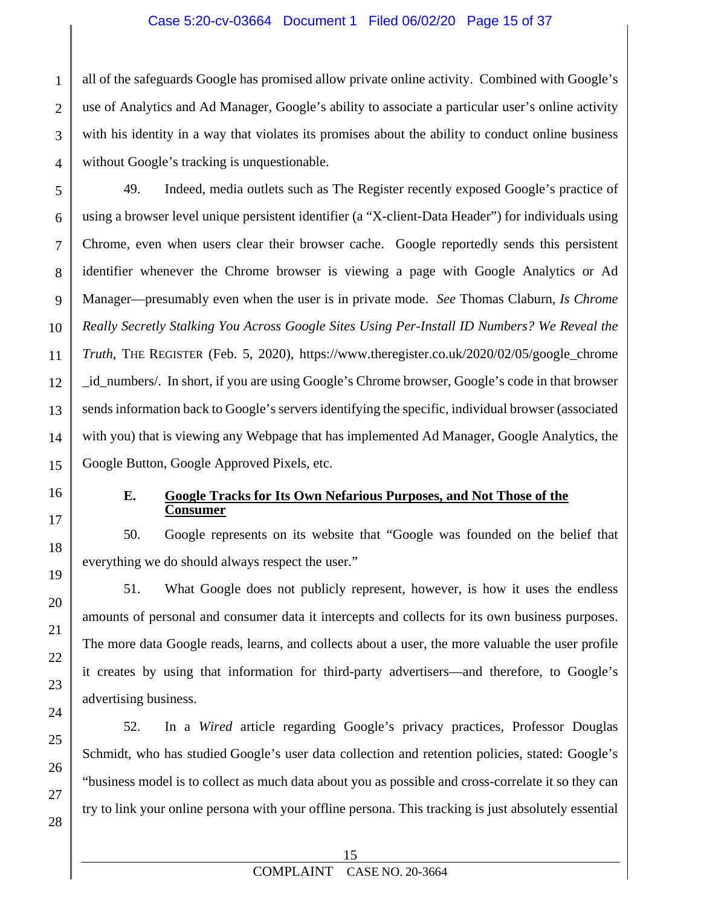#### Case 5:20-cv-03664 Document 1 Filed 06/02/20 Page 15 of 37

all of the safeguards Google has promised allow private online activity. Combined with Google's use of Analytics and Ad Manager, Google's ability to associate a particular user's online activity with his identity in a way that violates its promises about the ability to conduct online business without Google's tracking is unquestionable.

5 6 7 8 9 10 11 12 13 14 15 49. Indeed, media outlets such as The Register recently exposed Google's practice of using a browser level unique persistent identifier (a "X-client-Data Header") for individuals using Chrome, even when users clear their browser cache. Google reportedly sends this persistent identifier whenever the Chrome browser is viewing a page with Google Analytics or Ad Manager—presumably even when the user is in private mode. *See* Thomas Claburn, *Is Chrome Really Secretly Stalking You Across Google Sites Using Per-Install ID Numbers? We Reveal the Truth*, THE REGISTER (Feb. 5, 2020), [https://www.theregister.co.uk/2020/02/05/google\\_chrome](https://www.theregister.co.uk/2020/02/05/google_chrome) \_id\_numbers/. In short, if you are using Google's Chrome browser, Google's code in that browser sends information back to Google's servers identifying the specific, individual browser (associated with you) that is viewing any Webpage that has implemented Ad Manager, Google Analytics, the Google Button, Google Approved Pixels, etc.

16

17

18

19

20

21

22

23

24

25

26

27

28

1

2

3

4

#### **E. Google Tracks for Its Own Nefarious Purposes, and Not Those of the Consumer**

50. Google represents on its website that "Google was founded on the belief that everything we do should always respect the user."

51. What Google does not publicly represent, however, is how it uses the endless amounts of personal and consumer data it intercepts and collects for its own business purposes. The more data Google reads, learns, and collects about a user, the more valuable the user profile it creates by using that information for third-party advertisers—and therefore, to Google's advertising business.

52. In a *Wired* article regarding Google's privacy practices, Professor Douglas Schmidt, who has studied Google's user data collection and retention policies, stated: Google's "business model is to collect as much data about you as possible and cross-correlate it so they can try to link your online persona with your offline persona. This tracking is just absolutely essential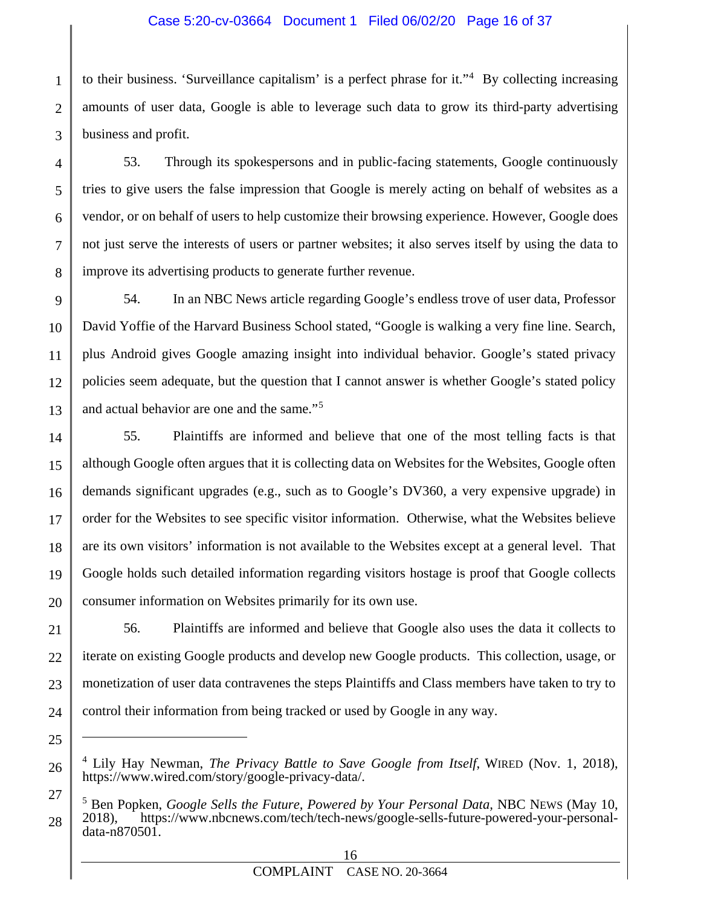#### Case 5:20-cv-03664 Document 1 Filed 06/02/20 Page 16 of 37

1 2 3 to their business. 'Surveillance capitalism' is a perfect phrase for it."[4](#page-15-0) By collecting increasing amounts of user data, Google is able to leverage such data to grow its third-party advertising business and profit.

53. Through its spokespersons and in public-facing statements, Google continuously tries to give users the false impression that Google is merely acting on behalf of websites as a vendor, or on behalf of users to help customize their browsing experience. However, Google does not just serve the interests of users or partner websites; it also serves itself by using the data to improve its advertising products to generate further revenue.

4

5

6

7

8

21

22

23

24

25

 $\overline{a}$ 

<span id="page-15-0"></span>26

<span id="page-15-1"></span>27

28

9 10 11 12 13 54. In an NBC News article regarding Google's endless trove of user data, Professor David Yoffie of the Harvard Business School stated, "Google is walking a very fine line. Search, plus Android gives Google amazing insight into individual behavior. Google's stated privacy policies seem adequate, but the question that I cannot answer is whether Google's stated policy and actual behavior are one and the same."[5](#page-15-1)

14 15 16 17 18 19 20 55. Plaintiffs are informed and believe that one of the most telling facts is that although Google often argues that it is collecting data on Websites for the Websites, Google often demands significant upgrades (e.g., such as to Google's DV360, a very expensive upgrade) in order for the Websites to see specific visitor information. Otherwise, what the Websites believe are its own visitors' information is not available to the Websites except at a general level. That Google holds such detailed information regarding visitors hostage is proof that Google collects consumer information on Websites primarily for its own use.

56. Plaintiffs are informed and believe that Google also uses the data it collects to iterate on existing Google products and develop new Google products. This collection, usage, or monetization of user data contravenes the steps Plaintiffs and Class members have taken to try to control their information from being tracked or used by Google in any way.

<sup>4</sup> Lily Hay Newman, *The Privacy Battle to Save Google from Itself*, WIRED (Nov. 1, 2018), https://www.wired.com/story/google-privacy-data/.

<sup>&</sup>lt;sup>5</sup> Ben Popken, *Google Sells the Future, Powered by Your Personal Data,* NBC NEWS (May 10, 2018), https://www.nbcnews.com/tech/tech-news/google-sells-future-powered-your-personaldata-n870501.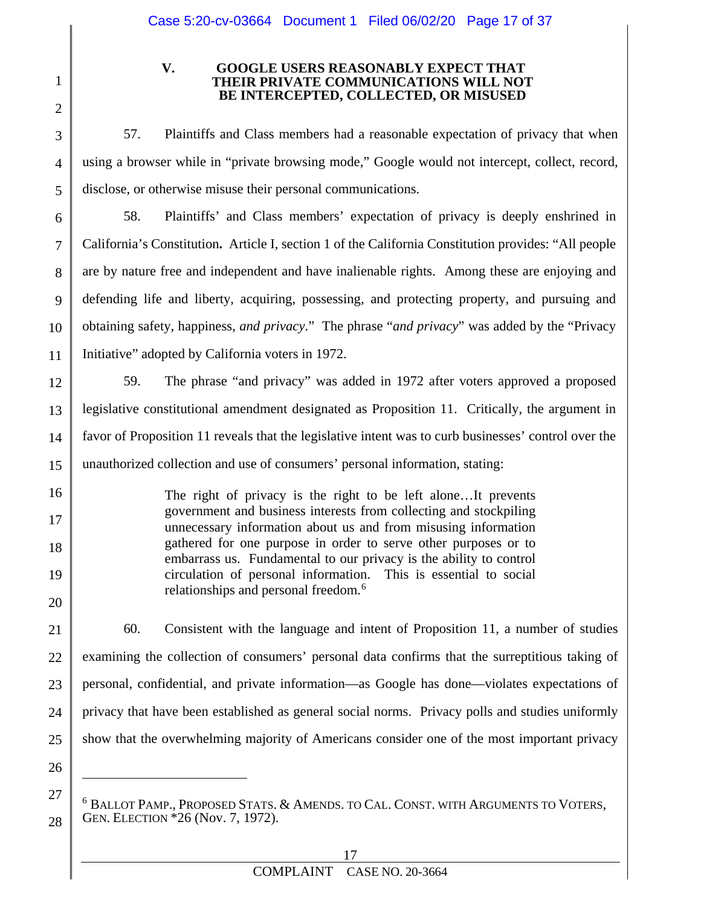2

3

4

5

16

17

18

19

20

21

26

 $\overline{a}$ 

<span id="page-16-0"></span>27

28

1

#### **V. GOOGLE USERS REASONABLY EXPECT THAT THEIR PRIVATE COMMUNICATIONS WILL NOT BE INTERCEPTED, COLLECTED, OR MISUSED**

57. Plaintiffs and Class members had a reasonable expectation of privacy that when using a browser while in "private browsing mode," Google would not intercept, collect, record, disclose, or otherwise misuse their personal communications.

6 7 8 9 10 11 58. Plaintiffs' and Class members' expectation of privacy is deeply enshrined in California's Constitution**.** Article I, section 1 of the California Constitution provides: "All people are by nature free and independent and have inalienable rights. Among these are enjoying and defending life and liberty, acquiring, possessing, and protecting property, and pursuing and obtaining safety, happiness, *and privacy*." The phrase "*and privacy*" was added by the "Privacy Initiative" adopted by California voters in 1972.

12 13 14 15 59. The phrase "and privacy" was added in 1972 after voters approved a proposed legislative constitutional amendment designated as Proposition 11. Critically, the argument in favor of Proposition 11 reveals that the legislative intent was to curb businesses' control over the unauthorized collection and use of consumers' personal information, stating:

> The right of privacy is the right to be left alone…It prevents government and business interests from collecting and stockpiling unnecessary information about us and from misusing information gathered for one purpose in order to serve other purposes or to embarrass us. Fundamental to our privacy is the ability to control circulation of personal information. This is essential to social relationships and personal freedom.<sup>[6](#page-16-0)</sup>

22 23 24 25 60. Consistent with the language and intent of Proposition 11, a number of studies examining the collection of consumers' personal data confirms that the surreptitious taking of personal, confidential, and private information—as Google has done—violates expectations of privacy that have been established as general social norms. Privacy polls and studies uniformly show that the overwhelming majority of Americans consider one of the most important privacy

<sup>6</sup> BALLOT PAMP., PROPOSED STATS. & AMENDS. TO CAL. CONST. WITH ARGUMENTS TO VOTERS, GEN. ELECTION \*26 (Nov. 7, 1972).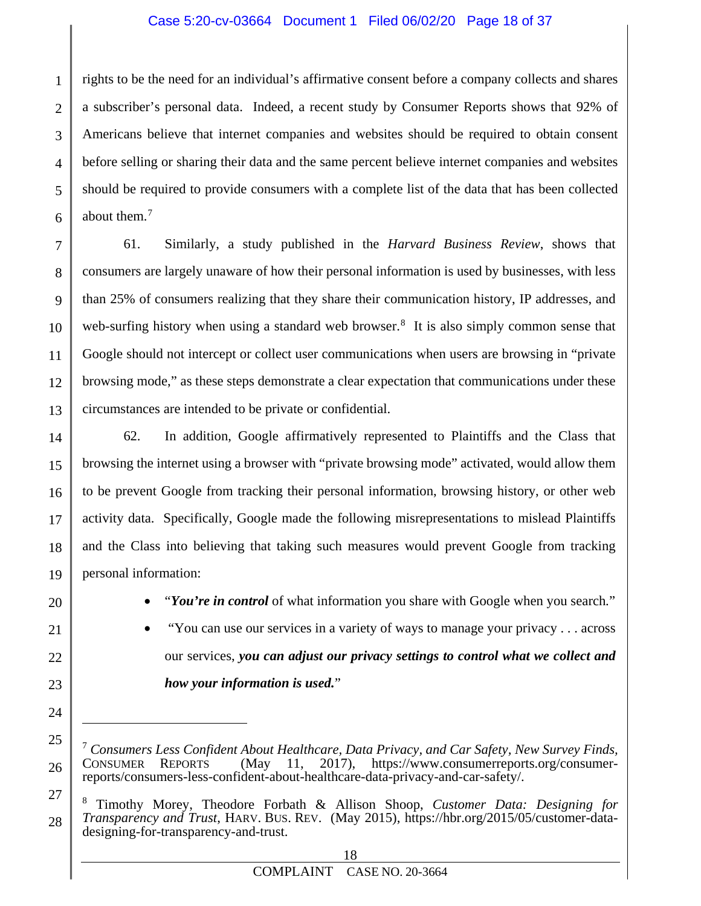#### Case 5:20-cv-03664 Document 1 Filed 06/02/20 Page 18 of 37

1 2 3 4 5 6 rights to be the need for an individual's affirmative consent before a company collects and shares a subscriber's personal data. Indeed, a recent study by Consumer Reports shows that 92% of Americans believe that internet companies and websites should be required to obtain consent before selling or sharing their data and the same percent believe internet companies and websites should be required to provide consumers with a complete list of the data that has been collected about them.<sup>[7](#page-17-0)</sup>

7 8 9 10 11 12 13 61. Similarly, a study published in the *Harvard Business Review*, shows that consumers are largely unaware of how their personal information is used by businesses, with less than 25% of consumers realizing that they share their communication history, IP addresses, and web-surfing history when using a standard web browser.<sup>[8](#page-17-1)</sup> It is also simply common sense that Google should not intercept or collect user communications when users are browsing in "private browsing mode," as these steps demonstrate a clear expectation that communications under these circumstances are intended to be private or confidential.

14 15 16 17 18 19 62. In addition, Google affirmatively represented to Plaintiffs and the Class that browsing the internet using a browser with "private browsing mode" activated, would allow them to be prevent Google from tracking their personal information, browsing history, or other web activity data. Specifically, Google made the following misrepresentations to mislead Plaintiffs and the Class into believing that taking such measures would prevent Google from tracking personal information:

 $\overline{a}$ 

20

21

22

23

24

<span id="page-17-0"></span>25

26

<span id="page-17-1"></span>27

28

• "*You're in control* of what information you share with Google when you search*.*"

• "You can use our services in a variety of ways to manage your privacy . . . across our services, *you can adjust our privacy settings to control what we collect and how your information is used.*"

<sup>7</sup> *Consumers Less Confident About Healthcare, Data Privacy, and Car Safety, New Survey Finds,*   $(May \quad 11, \quad 2017)$ , [https://www.consumerreports.org/consumer](https://www.consumerreports.org/consumer-reports/consumers-less-confident-about-healthcare-data-privacy-and-car-safety/)[reports/consumers-less-confident-about-healthcare-data-privacy-and-car-safety/.](https://www.consumerreports.org/consumer-reports/consumers-less-confident-about-healthcare-data-privacy-and-car-safety/)

<sup>8</sup> Timothy Morey, Theodore Forbath & Allison Shoop, *Customer Data: Designing for Transparency and Trust*, HARV. BUS. REV. (May 2015), https://hbr.org/2015/05/customer-datadesigning-for-transparency-and-trust.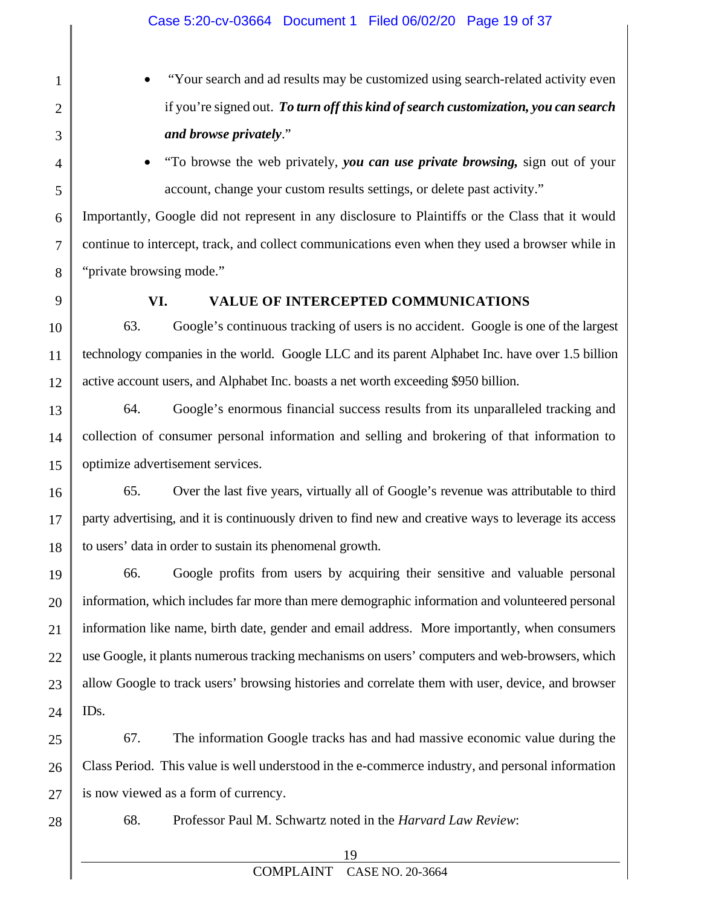- "Your search and ad results may be customized using search-related activity even if you're signed out. *To turn off this kind of search customization, you can search and browse privately*."
- "To browse the web privately, *you can use private browsing,* sign out of your account, change your custom results settings, or delete past activity."

Importantly, Google did not represent in any disclosure to Plaintiffs or the Class that it would continue to intercept, track, and collect communications even when they used a browser while in "private browsing mode."

1

2

3

4

5

6

7

8

9

#### **VI. VALUE OF INTERCEPTED COMMUNICATIONS**

10 11 12 63. Google's continuous tracking of users is no accident. Google is one of the largest technology companies in the world. Google LLC and its parent Alphabet Inc. have over 1.5 billion active account users, and Alphabet Inc. boasts a net worth exceeding \$950 billion.

13 14 15 64. Google's enormous financial success results from its unparalleled tracking and collection of consumer personal information and selling and brokering of that information to optimize advertisement services.

16 17 18 65. Over the last five years, virtually all of Google's revenue was attributable to third party advertising, and it is continuously driven to find new and creative ways to leverage its access to users' data in order to sustain its phenomenal growth.

19 20 21 22 23 24 66. Google profits from users by acquiring their sensitive and valuable personal information, which includes far more than mere demographic information and volunteered personal information like name, birth date, gender and email address. More importantly, when consumers use Google, it plants numerous tracking mechanisms on users' computers and web-browsers, which allow Google to track users' browsing histories and correlate them with user, device, and browser IDs.

25 26 27 67. The information Google tracks has and had massive economic value during the Class Period. This value is well understood in the e-commerce industry, and personal information is now viewed as a form of currency.

28

68. Professor Paul M. Schwartz noted in the *Harvard Law Review*: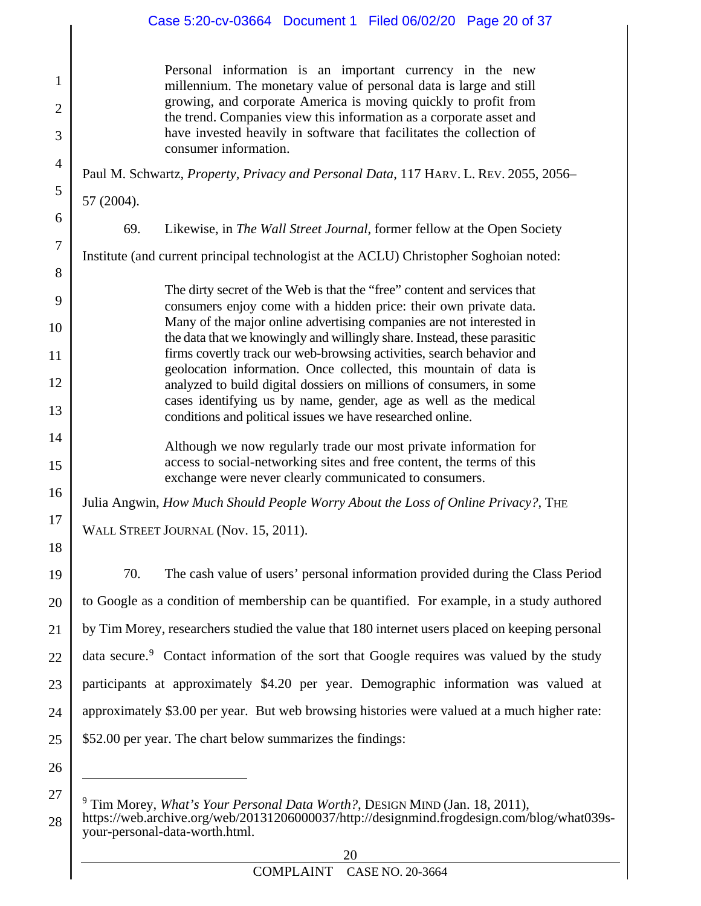#### Case 5:20-cv-03664 Document 1 Filed 06/02/20 Page 20 of 37

|            | Personal information is an important currency in the new<br>millennium. The monetary value of personal data is large and still<br>growing, and corporate America is moving quickly to profit from<br>the trend. Companies view this information as a corporate asset and<br>have invested heavily in software that facilitates the collection of<br>consumer information.                                                                                                                                                                                                                                                                                 |
|------------|-----------------------------------------------------------------------------------------------------------------------------------------------------------------------------------------------------------------------------------------------------------------------------------------------------------------------------------------------------------------------------------------------------------------------------------------------------------------------------------------------------------------------------------------------------------------------------------------------------------------------------------------------------------|
|            | Paul M. Schwartz, Property, Privacy and Personal Data, 117 HARV. L. REV. 2055, 2056–                                                                                                                                                                                                                                                                                                                                                                                                                                                                                                                                                                      |
| 57 (2004). |                                                                                                                                                                                                                                                                                                                                                                                                                                                                                                                                                                                                                                                           |
| 69.        | Likewise, in <i>The Wall Street Journal</i> , former fellow at the Open Society                                                                                                                                                                                                                                                                                                                                                                                                                                                                                                                                                                           |
|            | Institute (and current principal technologist at the ACLU) Christopher Soghoian noted:                                                                                                                                                                                                                                                                                                                                                                                                                                                                                                                                                                    |
|            | The dirty secret of the Web is that the "free" content and services that<br>consumers enjoy come with a hidden price: their own private data.<br>Many of the major online advertising companies are not interested in<br>the data that we knowingly and willingly share. Instead, these parasitic<br>firms covertly track our web-browsing activities, search behavior and<br>geolocation information. Once collected, this mountain of data is<br>analyzed to build digital dossiers on millions of consumers, in some<br>cases identifying us by name, gender, age as well as the medical<br>conditions and political issues we have researched online. |
|            | Although we now regularly trade our most private information for<br>access to social-networking sites and free content, the terms of this<br>exchange were never clearly communicated to consumers.                                                                                                                                                                                                                                                                                                                                                                                                                                                       |
|            | Julia Angwin, How Much Should People Worry About the Loss of Online Privacy?, THE                                                                                                                                                                                                                                                                                                                                                                                                                                                                                                                                                                         |

WALL STREET JOURNAL (Nov. 15, 2011).

70. The cash value of users' personal information provided during the Class Period to Google as a condition of membership can be quantified. For example, in a study authored by Tim Morey, researchers studied the value that 180 internet users placed on keeping personal data secure.<sup>[9](#page-19-0)</sup> Contact information of the sort that Google requires was valued by the study participants at approximately \$4.20 per year. Demographic information was valued at approximately \$3.00 per year. But web browsing histories were valued at a much higher rate: \$52.00 per year. The chart below summarizes the findings:

26

 $\overline{a}$ 

<span id="page-19-0"></span>27

1

2

3

4

5

6

7

8

9

10

11

12

13

14

15

16

17

18

19

20

21

22

23

24

<sup>9</sup> Tim Morey, *What's Your Personal Data Worth?*, DESIGN MIND (Jan. 18, 2011),

<sup>28</sup> https://web.archive.org/web/20131206000037/http://designmind.frogdesign.com/blog/what039syour-personal-data-worth.html.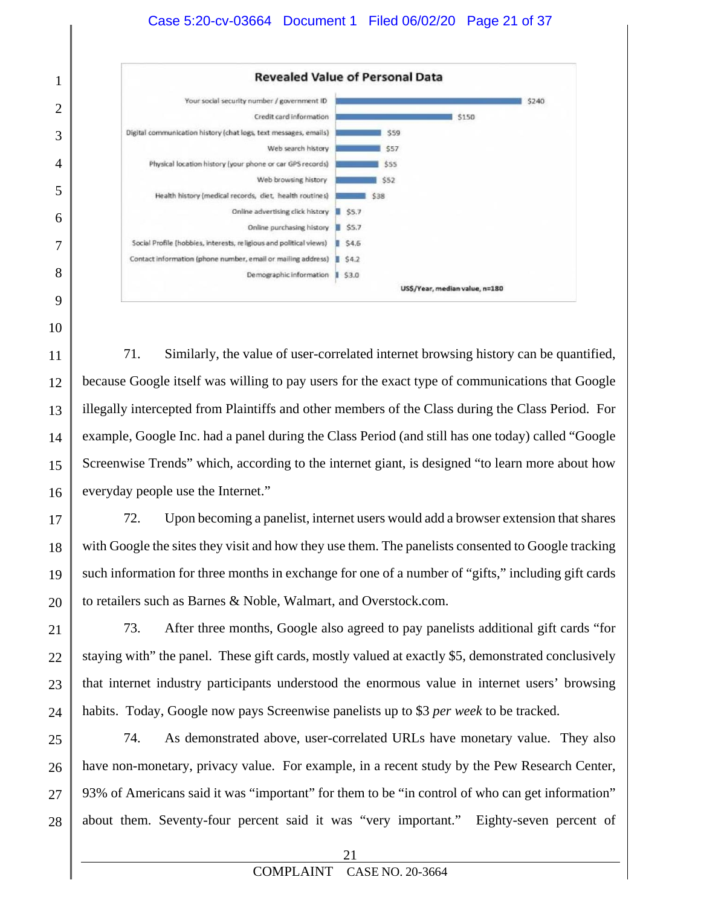

10

11 12 13 14 15 16 71. Similarly, the value of user-correlated internet browsing history can be quantified, because Google itself was willing to pay users for the exact type of communications that Google illegally intercepted from Plaintiffs and other members of the Class during the Class Period. For example, Google Inc. had a panel during the Class Period (and still has one today) called "Google Screenwise Trends" which, according to the internet giant, is designed "to learn more about how everyday people use the Internet."

17 18 19 20 72. Upon becoming a panelist, internet users would add a browser extension that shares with Google the sites they visit and how they use them. The panelists consented to Google tracking such information for three months in exchange for one of a number of "gifts," including gift cards to retailers such as Barnes & Noble, Walmart, and Overstock.com.

21 22 23 24 73. After three months, Google also agreed to pay panelists additional gift cards "for staying with" the panel. These gift cards, mostly valued at exactly \$5, demonstrated conclusively that internet industry participants understood the enormous value in internet users' browsing habits. Today, Google now pays Screenwise panelists up to \$3 *per week* to be tracked.

25 26 27 28 74. As demonstrated above, user-correlated URLs have monetary value. They also have non-monetary, privacy value. For example, in a recent study by the Pew Research Center, 93% of Americans said it was "important" for them to be "in control of who can get information" about them. Seventy-four percent said it was "very important." Eighty-seven percent of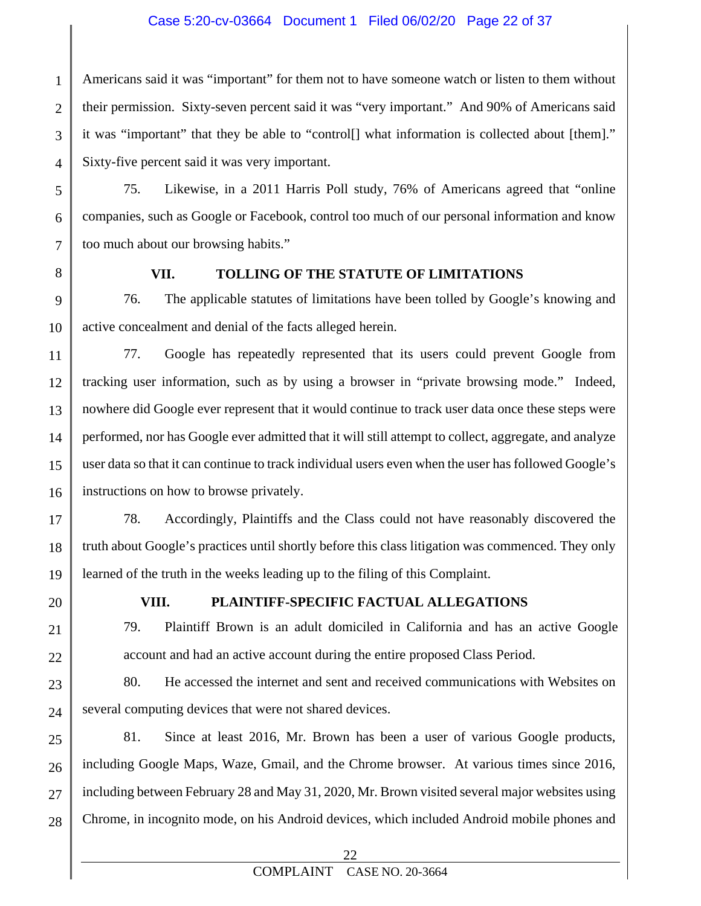#### Case 5:20-cv-03664 Document 1 Filed 06/02/20 Page 22 of 37

1 2 3 4 Americans said it was "important" for them not to have someone watch or listen to them without their permission. Sixty-seven percent said it was "very important." And 90% of Americans said it was "important" that they be able to "control[] what information is collected about [them]." Sixty-five percent said it was very important.

75. Likewise, in a 2011 Harris Poll study, 76% of Americans agreed that "online companies, such as Google or Facebook, control too much of our personal information and know too much about our browsing habits."

5

6

7

8

#### **VII. TOLLING OF THE STATUTE OF LIMITATIONS**

9 10 76. The applicable statutes of limitations have been tolled by Google's knowing and active concealment and denial of the facts alleged herein.

11 12 13 14 15 16 77. Google has repeatedly represented that its users could prevent Google from tracking user information, such as by using a browser in "private browsing mode." Indeed, nowhere did Google ever represent that it would continue to track user data once these steps were performed, nor has Google ever admitted that it will still attempt to collect, aggregate, and analyze user data so that it can continue to track individual users even when the user has followed Google's instructions on how to browse privately.

17 18 19 78. Accordingly, Plaintiffs and the Class could not have reasonably discovered the truth about Google's practices until shortly before this class litigation was commenced. They only learned of the truth in the weeks leading up to the filing of this Complaint.

20

21

22

#### **VIII. PLAINTIFF-SPECIFIC FACTUAL ALLEGATIONS**

79. Plaintiff Brown is an adult domiciled in California and has an active Google account and had an active account during the entire proposed Class Period.

23 24 80. He accessed the internet and sent and received communications with Websites on several computing devices that were not shared devices.

25 26 27 28 81. Since at least 2016, Mr. Brown has been a user of various Google products, including Google Maps, Waze, Gmail, and the Chrome browser. At various times since 2016, including between February 28 and May 31, 2020, Mr. Brown visited several major websites using Chrome, in incognito mode, on his Android devices, which included Android mobile phones and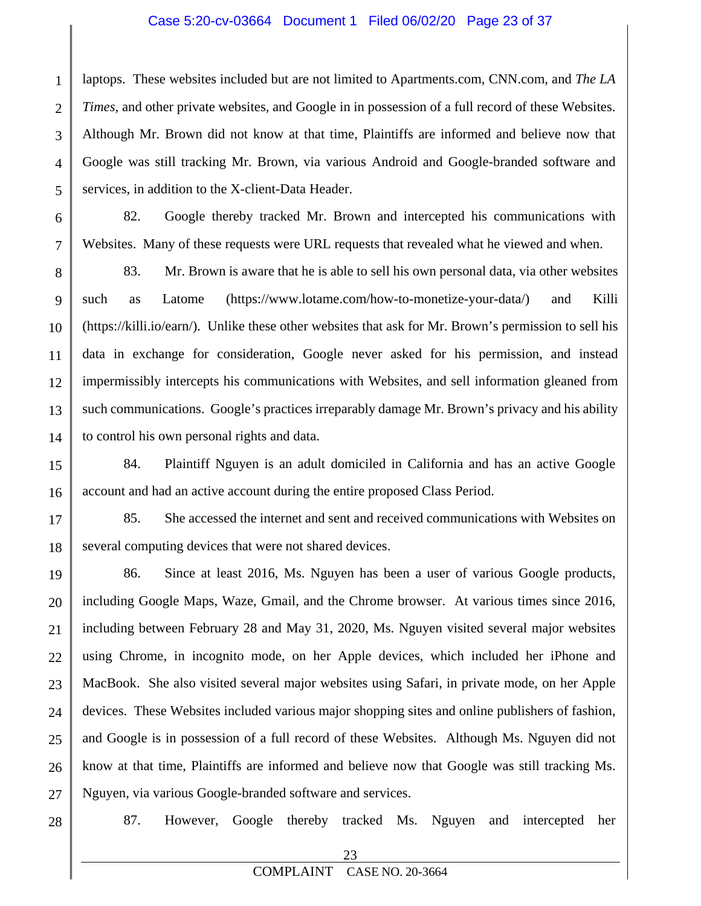#### Case 5:20-cv-03664 Document 1 Filed 06/02/20 Page 23 of 37

1 2 3 4 5 laptops. These websites included but are not limited to Apartments.com, CNN.com, and *The LA Times*, and other private websites, and Google in in possession of a full record of these Websites. Although Mr. Brown did not know at that time, Plaintiffs are informed and believe now that Google was still tracking Mr. Brown, via various Android and Google-branded software and services, in addition to the X-client-Data Header.

82. Google thereby tracked Mr. Brown and intercepted his communications with Websites. Many of these requests were URL requests that revealed what he viewed and when.

8 9 10 11 12 13 14 83. Mr. Brown is aware that he is able to sell his own personal data, via other websites such as Latome (https://www.lotame.com/how-to-monetize-your-data/) and Killi (https://killi.io/earn/). Unlike these other websites that ask for Mr. Brown's permission to sell his data in exchange for consideration, Google never asked for his permission, and instead impermissibly intercepts his communications with Websites, and sell information gleaned from such communications. Google's practices irreparably damage Mr. Brown's privacy and his ability to control his own personal rights and data.

15 16 84. Plaintiff Nguyen is an adult domiciled in California and has an active Google account and had an active account during the entire proposed Class Period.

17 18 85. She accessed the internet and sent and received communications with Websites on several computing devices that were not shared devices.

19 20 21 22 23 24 25 26 27 86. Since at least 2016, Ms. Nguyen has been a user of various Google products, including Google Maps, Waze, Gmail, and the Chrome browser. At various times since 2016, including between February 28 and May 31, 2020, Ms. Nguyen visited several major websites using Chrome, in incognito mode, on her Apple devices, which included her iPhone and MacBook. She also visited several major websites using Safari, in private mode, on her Apple devices. These Websites included various major shopping sites and online publishers of fashion, and Google is in possession of a full record of these Websites. Although Ms. Nguyen did not know at that time, Plaintiffs are informed and believe now that Google was still tracking Ms. Nguyen, via various Google-branded software and services.

28

6

7

87. However, Google thereby tracked Ms. Nguyen and intercepted her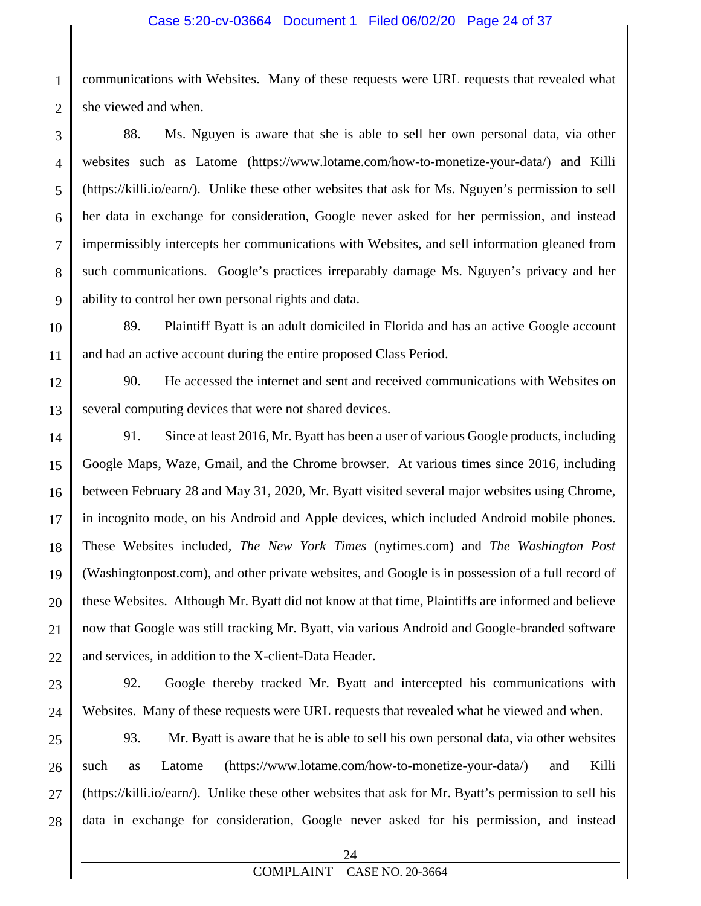#### Case 5:20-cv-03664 Document 1 Filed 06/02/20 Page 24 of 37

1 2 communications with Websites. Many of these requests were URL requests that revealed what she viewed and when.

3 4 5 6 7 8 9 88. Ms. Nguyen is aware that she is able to sell her own personal data, via other websites such as Latome (https://www.lotame.com/how-to-monetize-your-data/) and Killi (https://killi.io/earn/). Unlike these other websites that ask for Ms. Nguyen's permission to sell her data in exchange for consideration, Google never asked for her permission, and instead impermissibly intercepts her communications with Websites, and sell information gleaned from such communications. Google's practices irreparably damage Ms. Nguyen's privacy and her ability to control her own personal rights and data.

10 11 89. Plaintiff Byatt is an adult domiciled in Florida and has an active Google account and had an active account during the entire proposed Class Period.

12 13 90. He accessed the internet and sent and received communications with Websites on several computing devices that were not shared devices.

14 15 16 17 18 19 20 21 22 91. Since at least 2016, Mr. Byatt has been a user of various Google products, including Google Maps, Waze, Gmail, and the Chrome browser. At various times since 2016, including between February 28 and May 31, 2020, Mr. Byatt visited several major websites using Chrome, in incognito mode, on his Android and Apple devices, which included Android mobile phones. These Websites included, *The New York Times* (nytimes.com) and *The Washington Post* (Washingtonpost.com), and other private websites, and Google is in possession of a full record of these Websites. Although Mr. Byatt did not know at that time, Plaintiffs are informed and believe now that Google was still tracking Mr. Byatt, via various Android and Google-branded software and services, in addition to the X-client-Data Header.

23 24 92. Google thereby tracked Mr. Byatt and intercepted his communications with Websites. Many of these requests were URL requests that revealed what he viewed and when.

25 26 27 28 93. Mr. Byatt is aware that he is able to sell his own personal data, via other websites such as Latome (https://www.lotame.com/how-to-monetize-your-data/) and Killi (https://killi.io/earn/). Unlike these other websites that ask for Mr. Byatt's permission to sell his data in exchange for consideration, Google never asked for his permission, and instead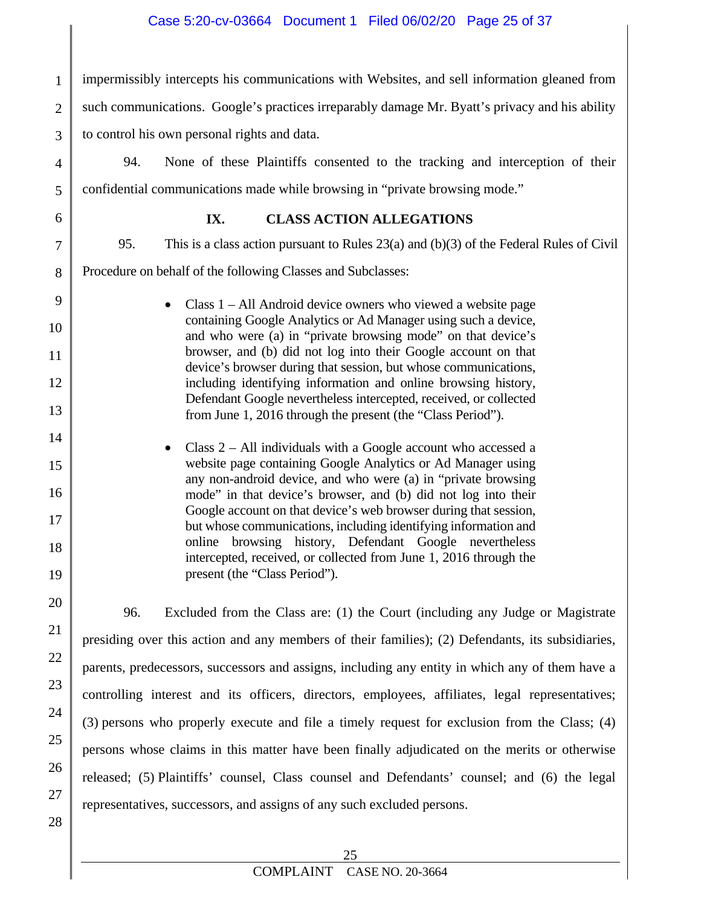1 2 3 impermissibly intercepts his communications with Websites, and sell information gleaned from such communications. Google's practices irreparably damage Mr. Byatt's privacy and his ability to control his own personal rights and data.

94. None of these Plaintiffs consented to the tracking and interception of their confidential communications made while browsing in "private browsing mode."

4

5

6

7

8

9

10

11

12

13

14

15

16

17

18

19

20

21

22

23

24

25

26

27

28

#### **IX. CLASS ACTION ALLEGATIONS**

95. This is a class action pursuant to Rules 23(a) and (b)(3) of the Federal Rules of Civil

Procedure on behalf of the following Classes and Subclasses:

• Class 1 – All Android device owners who viewed a website page containing Google Analytics or Ad Manager using such a device, and who were (a) in "private browsing mode" on that device's browser, and (b) did not log into their Google account on that device's browser during that session, but whose communications, including identifying information and online browsing history, Defendant Google nevertheless intercepted, received, or collected from June 1, 2016 through the present (the "Class Period").

Class  $2 - All$  individuals with a Google account who accessed a website page containing Google Analytics or Ad Manager using any non-android device, and who were (a) in "private browsing mode" in that device's browser, and (b) did not log into their Google account on that device's web browser during that session, but whose communications, including identifying information and online browsing history, Defendant Google nevertheless intercepted, received, or collected from June 1, 2016 through the present (the "Class Period").

96. Excluded from the Class are: (1) the Court (including any Judge or Magistrate presiding over this action and any members of their families); (2) Defendants, its subsidiaries, parents, predecessors, successors and assigns, including any entity in which any of them have a controlling interest and its officers, directors, employees, affiliates, legal representatives; (3) persons who properly execute and file a timely request for exclusion from the Class; (4) persons whose claims in this matter have been finally adjudicated on the merits or otherwise released; (5) Plaintiffs' counsel, Class counsel and Defendants' counsel; and (6) the legal representatives, successors, and assigns of any such excluded persons.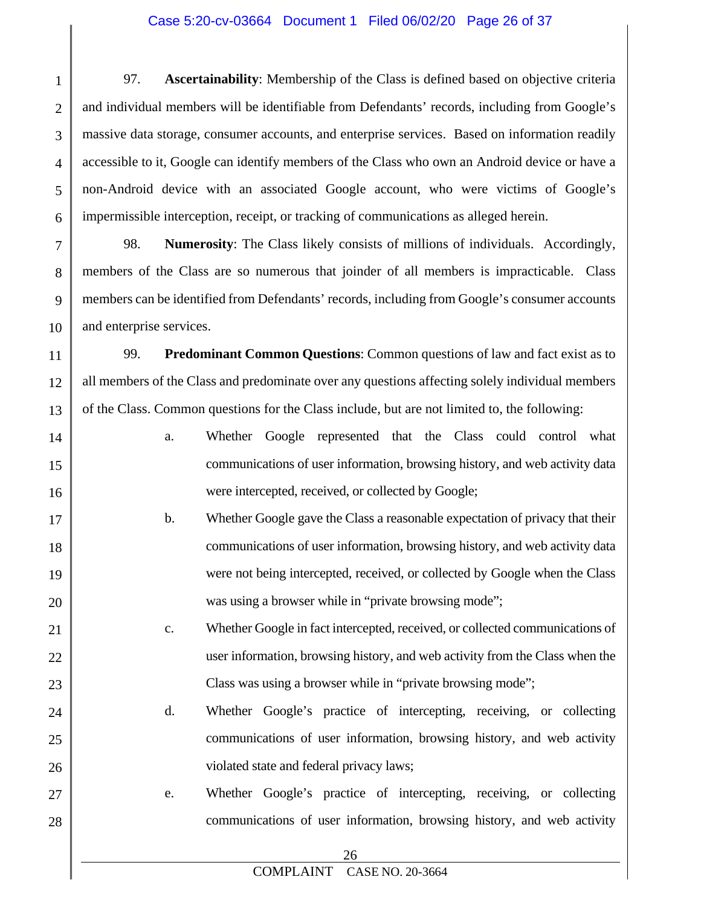#### Case 5:20-cv-03664 Document 1 Filed 06/02/20 Page 26 of 37

1 2 3 4 5 6 97. **Ascertainability**: Membership of the Class is defined based on objective criteria and individual members will be identifiable from Defendants' records, including from Google's massive data storage, consumer accounts, and enterprise services. Based on information readily accessible to it, Google can identify members of the Class who own an Android device or have a non-Android device with an associated Google account, who were victims of Google's impermissible interception, receipt, or tracking of communications as alleged herein.

7 8 9 10 98. **Numerosity**: The Class likely consists of millions of individuals. Accordingly, members of the Class are so numerous that joinder of all members is impracticable. Class members can be identified from Defendants' records, including from Google's consumer accounts and enterprise services.

11 12 13 99. **Predominant Common Questions**: Common questions of law and fact exist as to all members of the Class and predominate over any questions affecting solely individual members of the Class. Common questions for the Class include, but are not limited to, the following:

14 15 16 17 a. Whether Google represented that the Class could control what communications of user information, browsing history, and web activity data were intercepted, received, or collected by Google;

18

19

20

21

22

23

24

25

26

27

- b. Whether Google gave the Class a reasonable expectation of privacy that their communications of user information, browsing history, and web activity data were not being intercepted, received, or collected by Google when the Class was using a browser while in "private browsing mode";
	- c. Whether Google in fact intercepted, received, or collected communications of user information, browsing history, and web activity from the Class when the Class was using a browser while in "private browsing mode";
	- d. Whether Google's practice of intercepting, receiving, or collecting communications of user information, browsing history, and web activity violated state and federal privacy laws;
	- e. Whether Google's practice of intercepting, receiving, or collecting communications of user information, browsing history, and web activity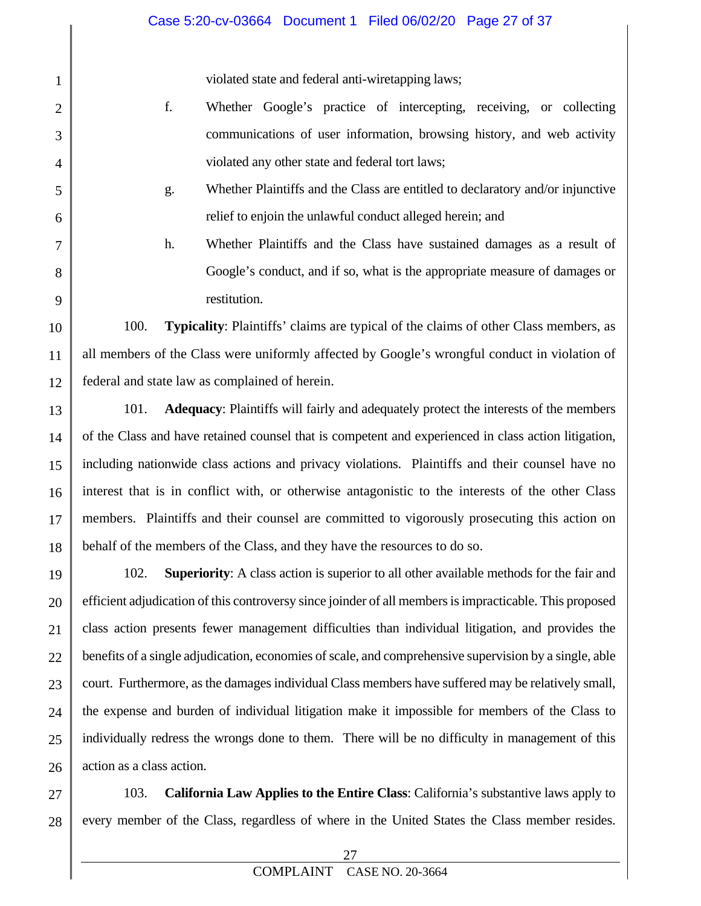violated state and federal anti-wiretapping laws;

1

2

3

4

5

6

7

8

9

10

11

12

- f. Whether Google's practice of intercepting, receiving, or collecting communications of user information, browsing history, and web activity violated any other state and federal tort laws;
- g. Whether Plaintiffs and the Class are entitled to declaratory and/or injunctive relief to enjoin the unlawful conduct alleged herein; and
	- h. Whether Plaintiffs and the Class have sustained damages as a result of Google's conduct, and if so, what is the appropriate measure of damages or restitution.

100. **Typicality**: Plaintiffs' claims are typical of the claims of other Class members, as all members of the Class were uniformly affected by Google's wrongful conduct in violation of federal and state law as complained of herein.

13 14 15 16 17 18 101. **Adequacy**: Plaintiffs will fairly and adequately protect the interests of the members of the Class and have retained counsel that is competent and experienced in class action litigation, including nationwide class actions and privacy violations. Plaintiffs and their counsel have no interest that is in conflict with, or otherwise antagonistic to the interests of the other Class members. Plaintiffs and their counsel are committed to vigorously prosecuting this action on behalf of the members of the Class, and they have the resources to do so.

19 20 21 22 23 24 25 26 102. **Superiority**: A class action is superior to all other available methods for the fair and efficient adjudication of this controversy since joinder of all members is impracticable. This proposed class action presents fewer management difficulties than individual litigation, and provides the benefits of a single adjudication, economies of scale, and comprehensive supervision by a single, able court. Furthermore, as the damages individual Class members have suffered may be relatively small, the expense and burden of individual litigation make it impossible for members of the Class to individually redress the wrongs done to them. There will be no difficulty in management of this action as a class action.

27 28 103. **California Law Applies to the Entire Class**: California's substantive laws apply to every member of the Class, regardless of where in the United States the Class member resides.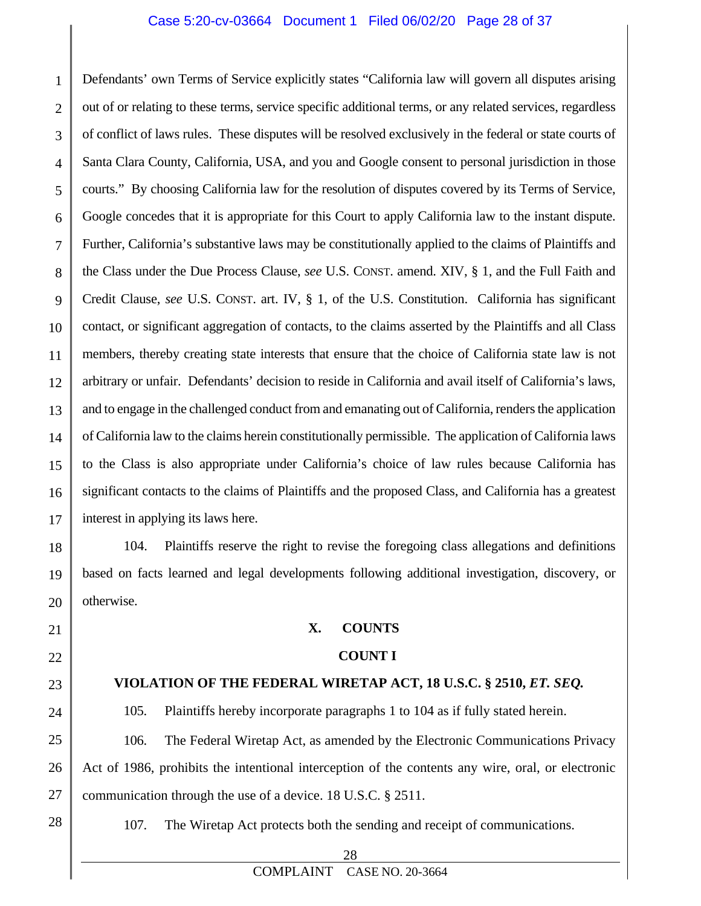#### Case 5:20-cv-03664 Document 1 Filed 06/02/20 Page 28 of 37

1 2 3 4 5 6 7 8 9 10 11 12 13 14 15 16 17 Defendants' own Terms of Service explicitly states "California law will govern all disputes arising out of or relating to these terms, service specific additional terms, or any related services, regardless of conflict of laws rules. These disputes will be resolved exclusively in the federal or state courts of Santa Clara County, California, USA, and you and Google consent to personal jurisdiction in those courts." By choosing California law for the resolution of disputes covered by its Terms of Service, Google concedes that it is appropriate for this Court to apply California law to the instant dispute. Further, California's substantive laws may be constitutionally applied to the claims of Plaintiffs and the Class under the Due Process Clause, *see* U.S. CONST. amend. XIV, § 1, and the Full Faith and Credit Clause, *see* U.S. CONST. art. IV, § 1, of the U.S. Constitution. California has significant contact, or significant aggregation of contacts, to the claims asserted by the Plaintiffs and all Class members, thereby creating state interests that ensure that the choice of California state law is not arbitrary or unfair. Defendants' decision to reside in California and avail itself of California's laws, and to engage in the challenged conduct from and emanating out of California, renders the application of California law to the claims herein constitutionally permissible. The application of California laws to the Class is also appropriate under California's choice of law rules because California has significant contacts to the claims of Plaintiffs and the proposed Class, and California has a greatest interest in applying its laws here.

18 19 20 104. Plaintiffs reserve the right to revise the foregoing class allegations and definitions based on facts learned and legal developments following additional investigation, discovery, or otherwise.

21

22 23

24

#### **VIOLATION OF THE FEDERAL WIRETAP ACT, 18 U.S.C. § 2510,** *ET. SEQ.*

**X. COUNTS**

 **COUNT I**

105. Plaintiffs hereby incorporate paragraphs 1 to 104 as if fully stated herein.

25 26 27 106. The Federal Wiretap Act, as amended by the Electronic Communications Privacy Act of 1986, prohibits the intentional interception of the contents any wire, oral, or electronic communication through the use of a device. 18 U.S.C. § 2511.

28

107. The Wiretap Act protects both the sending and receipt of communications.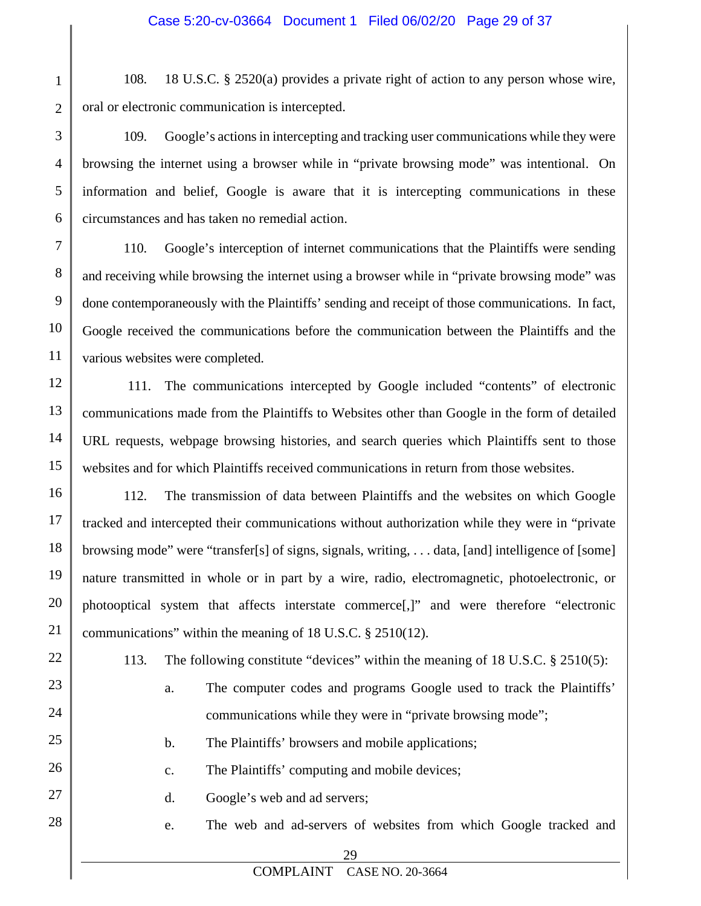108. 18 U.S.C. § 2520(a) provides a private right of action to any person whose wire, oral or electronic communication is intercepted.

109. Google's actions in intercepting and tracking user communications while they were browsing the internet using a browser while in "private browsing mode" was intentional. On information and belief, Google is aware that it is intercepting communications in these circumstances and has taken no remedial action.

7 8 9 10 11 110. Google's interception of internet communications that the Plaintiffs were sending and receiving while browsing the internet using a browser while in "private browsing mode" was done contemporaneously with the Plaintiffs' sending and receipt of those communications. In fact, Google received the communications before the communication between the Plaintiffs and the various websites were completed.

12 13 14 15 111. The communications intercepted by Google included "contents" of electronic communications made from the Plaintiffs to Websites other than Google in the form of detailed URL requests, webpage browsing histories, and search queries which Plaintiffs sent to those websites and for which Plaintiffs received communications in return from those websites.

16 17 18 19 20 21 112. The transmission of data between Plaintiffs and the websites on which Google tracked and intercepted their communications without authorization while they were in "private browsing mode" were "transfer[s] of signs, signals, writing, . . . data, [and] intelligence of [some] nature transmitted in whole or in part by a wire, radio, electromagnetic, photoelectronic, or photooptical system that affects interstate commerce[,]" and were therefore "electronic communications" within the meaning of 18 U.S.C. § 2510(12).

22

23

24

25

26

27

28

1

2

3

4

5

6

113. The following constitute "devices" within the meaning of 18 U.S.C. § 2510(5):

- a. The computer codes and programs Google used to track the Plaintiffs' communications while they were in "private browsing mode";
- b. The Plaintiffs' browsers and mobile applications;
- c. The Plaintiffs' computing and mobile devices;
- d. Google's web and ad servers;
- e. The web and ad-servers of websites from which Google tracked and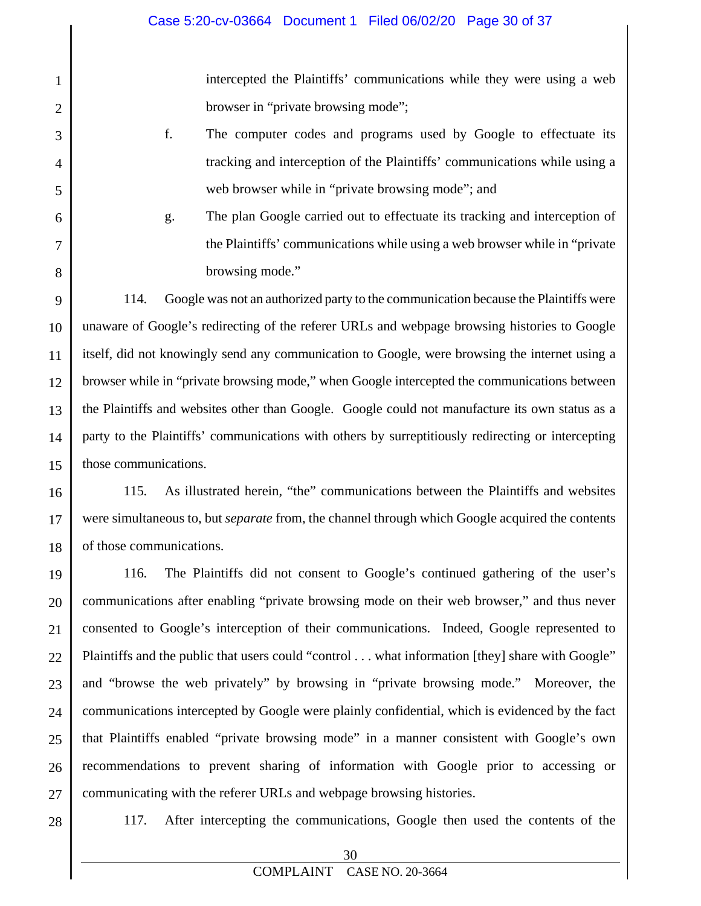intercepted the Plaintiffs' communications while they were using a web browser in "private browsing mode";

- f. The computer codes and programs used by Google to effectuate its tracking and interception of the Plaintiffs' communications while using a web browser while in "private browsing mode"; and
- g. The plan Google carried out to effectuate its tracking and interception of the Plaintiffs' communications while using a web browser while in "private browsing mode."

9 10 11 12 13 14 15 114. Google was not an authorized party to the communication because the Plaintiffs were unaware of Google's redirecting of the referer URLs and webpage browsing histories to Google itself, did not knowingly send any communication to Google, were browsing the internet using a browser while in "private browsing mode," when Google intercepted the communications between the Plaintiffs and websites other than Google. Google could not manufacture its own status as a party to the Plaintiffs' communications with others by surreptitiously redirecting or intercepting those communications.

16 17 18 115. As illustrated herein, "the" communications between the Plaintiffs and websites were simultaneous to, but *separate* from, the channel through which Google acquired the contents of those communications.

19 20 21 22 23 24 25 26 27 116. The Plaintiffs did not consent to Google's continued gathering of the user's communications after enabling "private browsing mode on their web browser," and thus never consented to Google's interception of their communications. Indeed, Google represented to Plaintiffs and the public that users could "control . . . what information [they] share with Google" and "browse the web privately" by browsing in "private browsing mode." Moreover, the communications intercepted by Google were plainly confidential, which is evidenced by the fact that Plaintiffs enabled "private browsing mode" in a manner consistent with Google's own recommendations to prevent sharing of information with Google prior to accessing or communicating with the referer URLs and webpage browsing histories.

28

1

2

3

4

5

6

7

8

117. After intercepting the communications, Google then used the contents of the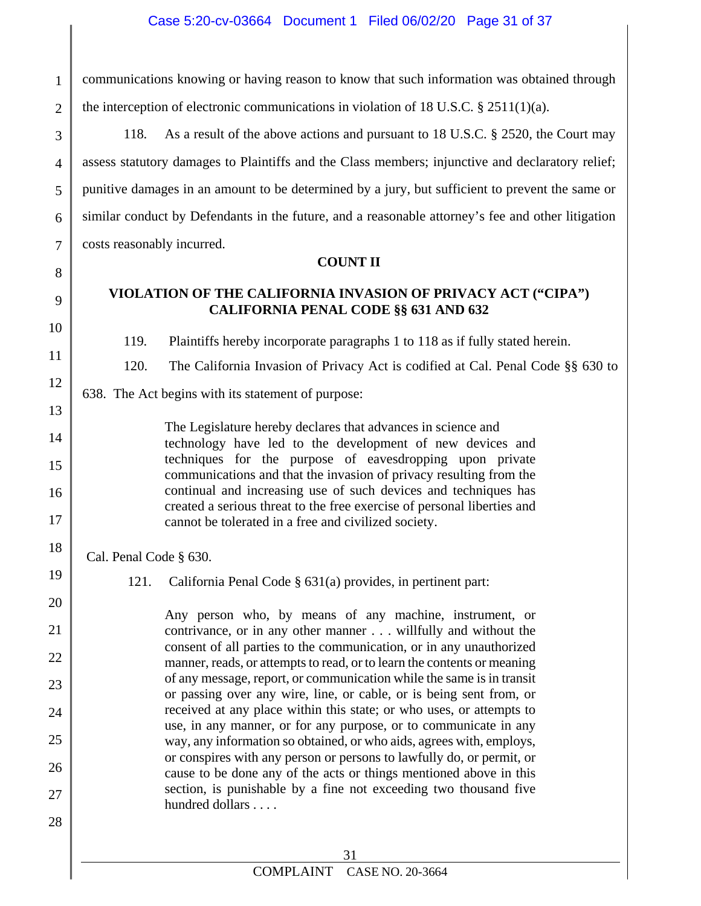1 2 communications knowing or having reason to know that such information was obtained through the interception of electronic communications in violation of 18 U.S.C. § 2511(1)(a).

118. As a result of the above actions and pursuant to 18 U.S.C. § 2520, the Court may assess statutory damages to Plaintiffs and the Class members; injunctive and declaratory relief; punitive damages in an amount to be determined by a jury, but sufficient to prevent the same or similar conduct by Defendants in the future, and a reasonable attorney's fee and other litigation costs reasonably incurred.

#### **COUNT II**

#### **VIOLATION OF THE CALIFORNIA INVASION OF PRIVACY ACT ("CIPA") CALIFORNIA PENAL CODE §§ 631 AND 632**

119. Plaintiffs hereby incorporate paragraphs 1 to 118 as if fully stated herein.

120. The California Invasion of Privacy Act is codified at Cal. Penal Code §§ 630 to

638. The Act begins with its statement of purpose:

The Legislature hereby declares that advances in science and technology have led to the development of new devices and techniques for the purpose of eavesdropping upon private communications and that the invasion of privacy resulting from the continual and increasing use of such devices and techniques has created a serious threat to the free exercise of personal liberties and cannot be tolerated in a free and civilized society.

Cal. Penal Code § 630.

3

4

5

6

7

8

9

10

11

12

13

14

15

16

17

18

19

20

21

22

23

24

25

26

27

28

121. California Penal Code § 631(a) provides, in pertinent part:

Any person who, by means of any machine, instrument, or contrivance, or in any other manner . . . willfully and without the consent of all parties to the communication, or in any unauthorized manner, reads, or attempts to read, or to learn the contents or meaning of any message, report, or communication while the same is in transit or passing over any wire, line, or cable, or is being sent from, or received at any place within this state; or who uses, or attempts to use, in any manner, or for any purpose, or to communicate in any way, any information so obtained, or who aids, agrees with, employs, or conspires with any person or persons to lawfully do, or permit, or cause to be done any of the acts or things mentioned above in this section, is punishable by a fine not exceeding two thousand five hundred dollars . . . .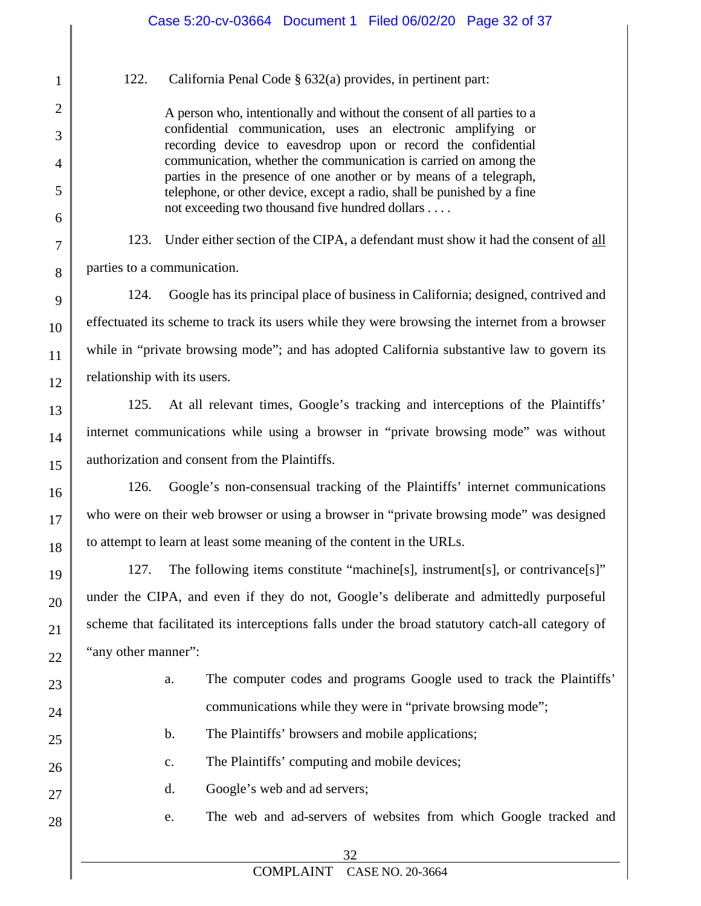122. California Penal Code § 632(a) provides, in pertinent part:

1

2

3

4

5

6

7

8

9

10

11

12

13

14

15

16

17

18

19

20

21

22

23

24

25

26

27

28

A person who, intentionally and without the consent of all parties to a confidential communication, uses an electronic amplifying or recording device to eavesdrop upon or record the confidential communication, whether the communication is carried on among the parties in the presence of one another or by means of a telegraph, telephone, or other device, except a radio, shall be punished by a fine not exceeding two thousand five hundred dollars . . . .

123. Under either section of the CIPA, a defendant must show it had the consent of all parties to a communication.

124. Google has its principal place of business in California; designed, contrived and effectuated its scheme to track its users while they were browsing the internet from a browser while in "private browsing mode"; and has adopted California substantive law to govern its relationship with its users.

125. At all relevant times, Google's tracking and interceptions of the Plaintiffs' internet communications while using a browser in "private browsing mode" was without authorization and consent from the Plaintiffs.

126. Google's non-consensual tracking of the Plaintiffs' internet communications who were on their web browser or using a browser in "private browsing mode" was designed to attempt to learn at least some meaning of the content in the URLs.

127. The following items constitute "machine[s], instrument[s], or contrivance[s]" under the CIPA, and even if they do not, Google's deliberate and admittedly purposeful scheme that facilitated its interceptions falls under the broad statutory catch-all category of "any other manner":

- a. The computer codes and programs Google used to track the Plaintiffs' communications while they were in "private browsing mode";
- b. The Plaintiffs' browsers and mobile applications;
- c. The Plaintiffs' computing and mobile devices;
- d. Google's web and ad servers;
	- e. The web and ad-servers of websites from which Google tracked and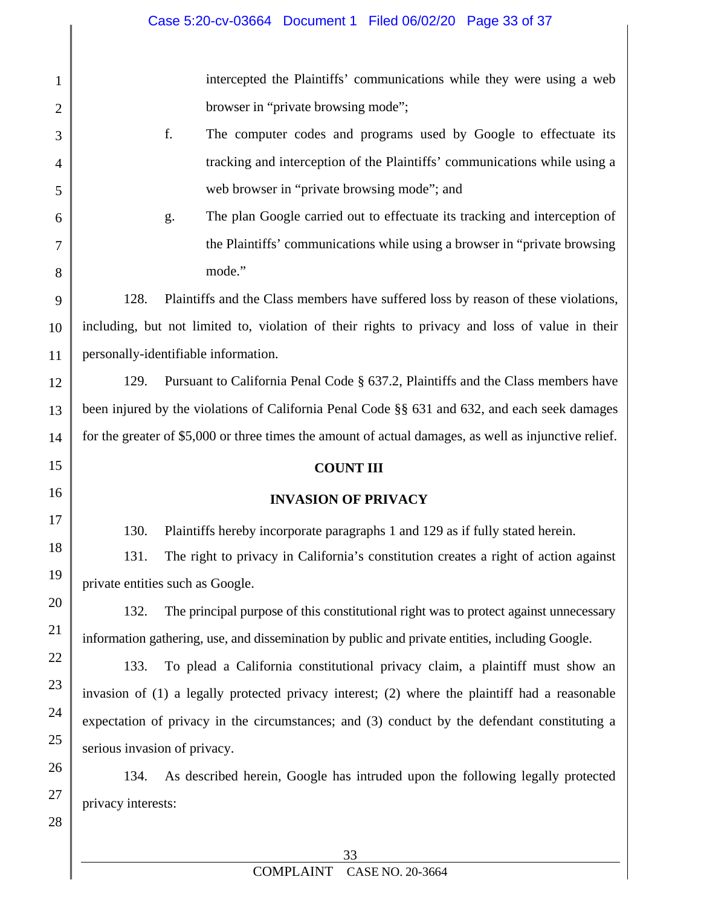1 2 3 4 5 6 7 8 9 10 11 12 13 14 15 16 17 18 19 20 21 22 23 24 25 26 27 28 intercepted the Plaintiffs' communications while they were using a web browser in "private browsing mode"; f. The computer codes and programs used by Google to effectuate its tracking and interception of the Plaintiffs' communications while using a web browser in "private browsing mode"; and g. The plan Google carried out to effectuate its tracking and interception of the Plaintiffs' communications while using a browser in "private browsing mode." 128. Plaintiffs and the Class members have suffered loss by reason of these violations, including, but not limited to, violation of their rights to privacy and loss of value in their personally-identifiable information. 129. Pursuant to California Penal Code § 637.2, Plaintiffs and the Class members have been injured by the violations of California Penal Code §§ 631 and 632, and each seek damages for the greater of \$5,000 or three times the amount of actual damages, as well as injunctive relief. **COUNT III INVASION OF PRIVACY** 130. Plaintiffs hereby incorporate paragraphs 1 and 129 as if fully stated herein. 131. The right to privacy in California's constitution creates a right of action against private entities such as Google. 132. The principal purpose of this constitutional right was to protect against unnecessary information gathering, use, and dissemination by public and private entities, including Google. 133. To plead a California constitutional privacy claim, a plaintiff must show an invasion of (1) a legally protected privacy interest; (2) where the plaintiff had a reasonable expectation of privacy in the circumstances; and (3) conduct by the defendant constituting a serious invasion of privacy. 134. As described herein, Google has intruded upon the following legally protected privacy interests: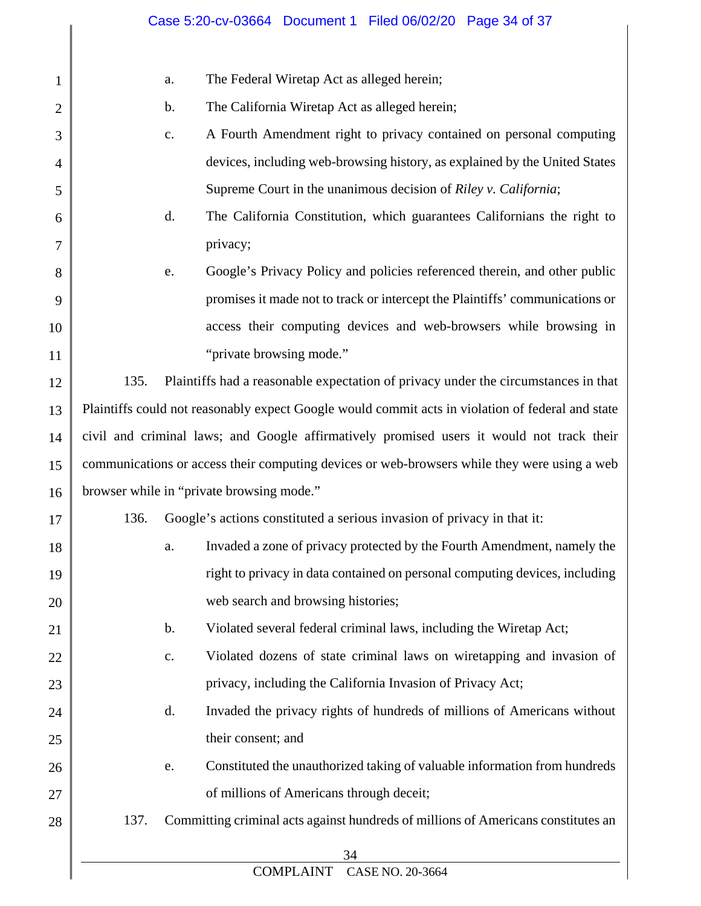|                                                                                                   | Case 5:20-cv-03664 Document 1 Filed 06/02/20 Page 34 of 37                              |
|---------------------------------------------------------------------------------------------------|-----------------------------------------------------------------------------------------|
|                                                                                                   | The Federal Wiretap Act as alleged herein;<br>a.                                        |
|                                                                                                   | The California Wiretap Act as alleged herein;<br>$\mathbf b$ .                          |
|                                                                                                   | A Fourth Amendment right to privacy contained on personal computing<br>$\mathbf{C}$ .   |
|                                                                                                   | devices, including web-browsing history, as explained by the United States              |
|                                                                                                   | Supreme Court in the unanimous decision of Riley v. California;                         |
|                                                                                                   | The California Constitution, which guarantees Californians the right to<br>d.           |
|                                                                                                   | privacy;                                                                                |
|                                                                                                   | Google's Privacy Policy and policies referenced therein, and other public<br>e.         |
|                                                                                                   | promises it made not to track or intercept the Plaintiffs' communications or            |
|                                                                                                   | access their computing devices and web-browsers while browsing in                       |
|                                                                                                   | "private browsing mode."                                                                |
|                                                                                                   | Plaintiffs had a reasonable expectation of privacy under the circumstances in that      |
| Plaintiffs could not reasonably expect Google would commit acts in violation of federal and state |                                                                                         |
| civil and criminal laws; and Google affirmatively promised users it would not track their         |                                                                                         |
| communications or access their computing devices or web-browsers while they were using a web      |                                                                                         |
| browser while in "private browsing mode."                                                         |                                                                                         |
| Google's actions constituted a serious invasion of privacy in that it:                            |                                                                                         |
|                                                                                                   | Invaded a zone of privacy protected by the Fourth Amendment, namely the<br>a.           |
|                                                                                                   | right to privacy in data contained on personal computing devices, including             |
|                                                                                                   | web search and browsing histories;                                                      |
|                                                                                                   | Violated several federal criminal laws, including the Wiretap Act;<br>$\mathbf b$ .     |
|                                                                                                   | Violated dozens of state criminal laws on wiretapping and invasion of<br>$\mathbf{C}$ . |
|                                                                                                   | privacy, including the California Invasion of Privacy Act;                              |
|                                                                                                   | Invaded the privacy rights of hundreds of millions of Americans without<br>d.           |
|                                                                                                   | their consent; and                                                                      |
|                                                                                                   | Constituted the unauthorized taking of valuable information from hundreds<br>e.         |
|                                                                                                   | of millions of Americans through deceit;                                                |
| 137.                                                                                              | Committing criminal acts against hundreds of millions of Americans constitutes an       |
|                                                                                                   | 34<br><b>COMPLAINT</b><br>CASE NO. 20-3664                                              |
|                                                                                                   | 135.<br>136.                                                                            |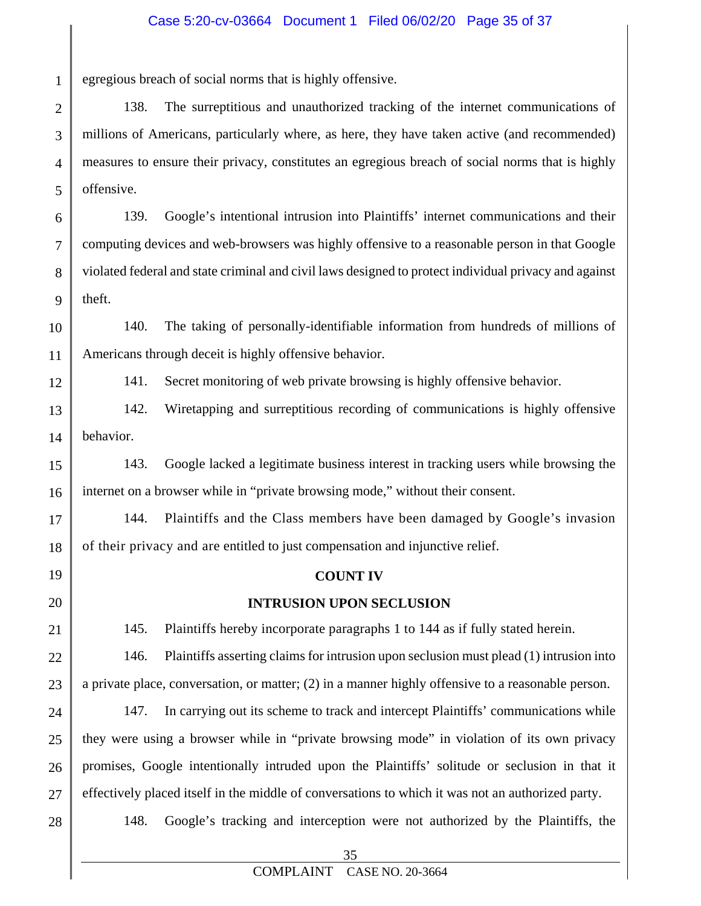egregious breach of social norms that is highly offensive.

138. The surreptitious and unauthorized tracking of the internet communications of millions of Americans, particularly where, as here, they have taken active (and recommended) measures to ensure their privacy, constitutes an egregious breach of social norms that is highly offensive.

6 7 8 9 139. Google's intentional intrusion into Plaintiffs' internet communications and their computing devices and web-browsers was highly offensive to a reasonable person in that Google violated federal and state criminal and civil laws designed to protect individual privacy and against theft.

10 11 140. The taking of personally-identifiable information from hundreds of millions of Americans through deceit is highly offensive behavior.

12

17

18

19

20

21

22

23

1

2

3

4

5

141. Secret monitoring of web private browsing is highly offensive behavior.

13 14 142. Wiretapping and surreptitious recording of communications is highly offensive behavior.

15 16 143. Google lacked a legitimate business interest in tracking users while browsing the internet on a browser while in "private browsing mode," without their consent.

144. Plaintiffs and the Class members have been damaged by Google's invasion of their privacy and are entitled to just compensation and injunctive relief.

#### **COUNT IV**

#### **INTRUSION UPON SECLUSION**

145. Plaintiffs hereby incorporate paragraphs 1 to 144 as if fully stated herein.

146. Plaintiffs asserting claims for intrusion upon seclusion must plead (1) intrusion into a private place, conversation, or matter; (2) in a manner highly offensive to a reasonable person.

24 25 26 27 147. In carrying out its scheme to track and intercept Plaintiffs' communications while they were using a browser while in "private browsing mode" in violation of its own privacy promises, Google intentionally intruded upon the Plaintiffs' solitude or seclusion in that it effectively placed itself in the middle of conversations to which it was not an authorized party.

28

148. Google's tracking and interception were not authorized by the Plaintiffs, the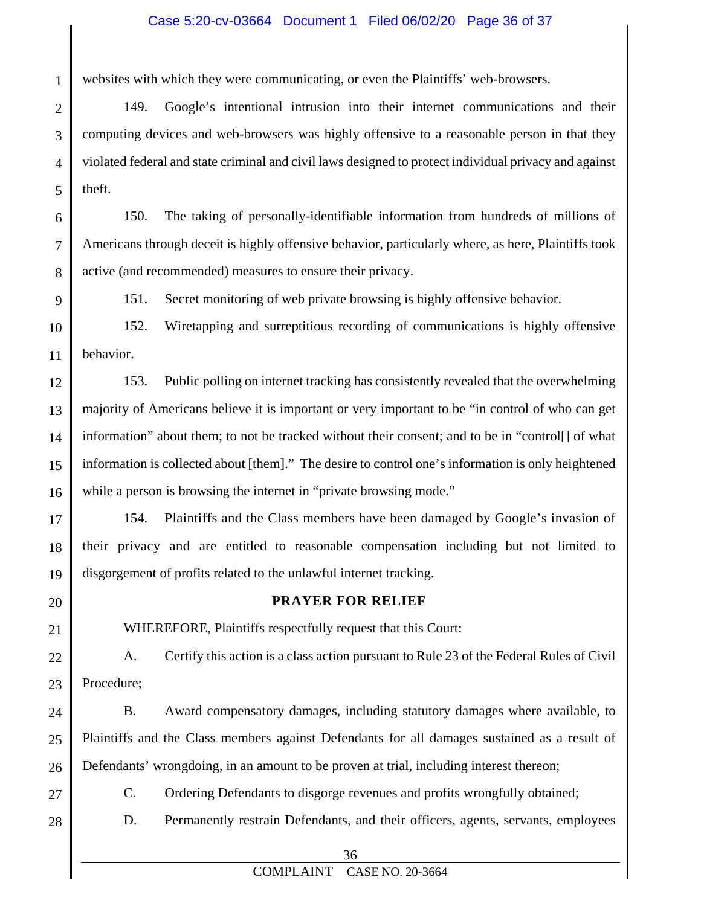#### Case 5:20-cv-03664 Document 1 Filed 06/02/20 Page 36 of 37

websites with which they were communicating, or even the Plaintiffs' web-browsers.

2 3 4 5 149. Google's intentional intrusion into their internet communications and their computing devices and web-browsers was highly offensive to a reasonable person in that they violated federal and state criminal and civil laws designed to protect individual privacy and against theft.

6 7 8 150. The taking of personally-identifiable information from hundreds of millions of Americans through deceit is highly offensive behavior, particularly where, as here, Plaintiffs took active (and recommended) measures to ensure their privacy.

9

1

151. Secret monitoring of web private browsing is highly offensive behavior.

10 11 152. Wiretapping and surreptitious recording of communications is highly offensive behavior.

12 13 14 15 16 153. Public polling on internet tracking has consistently revealed that the overwhelming majority of Americans believe it is important or very important to be "in control of who can get information" about them; to not be tracked without their consent; and to be in "control[] of what information is collected about [them]." The desire to control one's information is only heightened while a person is browsing the internet in "private browsing mode."

17 18 19 154. Plaintiffs and the Class members have been damaged by Google's invasion of their privacy and are entitled to reasonable compensation including but not limited to disgorgement of profits related to the unlawful internet tracking.

20

21

#### **PRAYER FOR RELIEF**

WHEREFORE, Plaintiffs respectfully request that this Court:

22 23 A. Certify this action is a class action pursuant to Rule 23 of the Federal Rules of Civil Procedure;

24 25 26 B. Award compensatory damages, including statutory damages where available, to Plaintiffs and the Class members against Defendants for all damages sustained as a result of Defendants' wrongdoing, in an amount to be proven at trial, including interest thereon;

27

28

C. Ordering Defendants to disgorge revenues and profits wrongfully obtained;

D. Permanently restrain Defendants, and their officers, agents, servants, employees